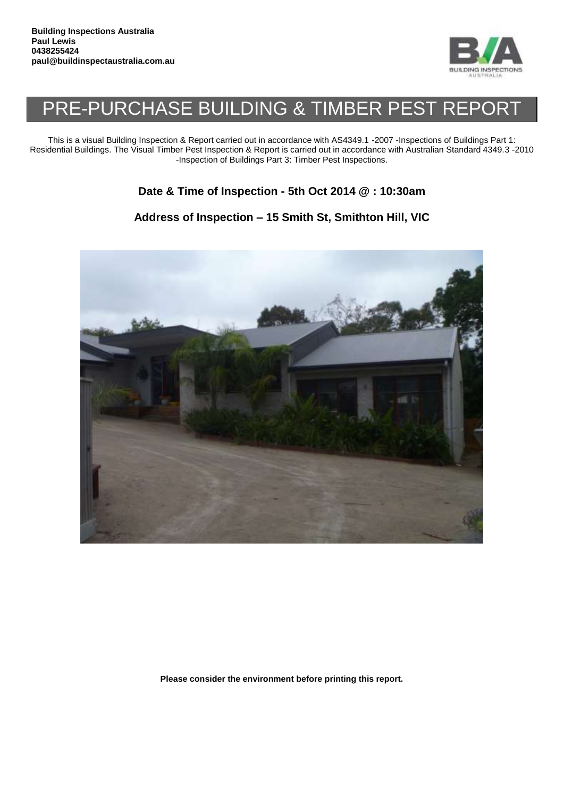

## PRE-PURCHASE BUILDING & TIMBER PEST REPORT

This is a visual Building Inspection & Report carried out in accordance with AS4349.1 -2007 -Inspections of Buildings Part 1: Residential Buildings. The Visual Timber Pest Inspection & Report is carried out in accordance with Australian Standard 4349.3 -2010 -Inspection of Buildings Part 3: Timber Pest Inspections.

## **Date & Time of Inspection - 5th Oct 2014 @ : 10:30am**

## **Address of Inspection – 15 Smith St, Smithton Hill, VIC**



**Please consider the environment before printing this report.**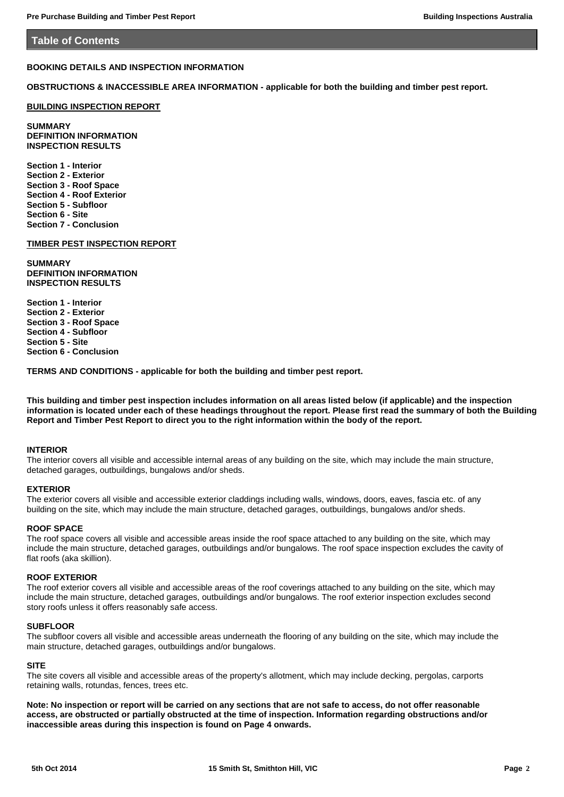#### **Table of Contents**

## **BOOKING DETAILS AND INSPECTION INFORMATION**

**OBSTRUCTIONS & INACCESSIBLE AREA INFORMATION - applicable for both the building and timber pest report.**

#### **BUILDING INSPECTION REPORT**

**SUMMARY DEFINITION INFORMATION INSPECTION RESULTS**

**Section 1 - Interior Section 2 - Exterior Section 3 - Roof Space Section 4 - Roof Exterior Section 5 - Subfloor Section 6 - Site Section 7 - Conclusion**

#### **TIMBER PEST INSPECTION REPORT**

**SUMMARY DEFINITION INFORMATION INSPECTION RESULTS**

**Section 1 - Interior Section 2 - Exterior Section 3 - Roof Space Section 4 - Subfloor Section 5 - Site Section 6 - Conclusion**

**TERMS AND CONDITIONS - applicable for both the building and timber pest report.**

**This building and timber pest inspection includes information on all areas listed below (if applicable) and the inspection information is located under each of these headings throughout the report. Please first read the summary of both the Building Report and Timber Pest Report to direct you to the right information within the body of the report.**

#### **INTERIOR**

The interior covers all visible and accessible internal areas of any building on the site, which may include the main structure, detached garages, outbuildings, bungalows and/or sheds.

#### **EXTERIOR**

The exterior covers all visible and accessible exterior claddings including walls, windows, doors, eaves, fascia etc. of any building on the site, which may include the main structure, detached garages, outbuildings, bungalows and/or sheds.

#### **ROOF SPACE**

The roof space covers all visible and accessible areas inside the roof space attached to any building on the site, which may include the main structure, detached garages, outbuildings and/or bungalows. The roof space inspection excludes the cavity of flat roofs (aka skillion).

#### **ROOF EXTERIOR**

The roof exterior covers all visible and accessible areas of the roof coverings attached to any building on the site, which may include the main structure, detached garages, outbuildings and/or bungalows. The roof exterior inspection excludes second story roofs unless it offers reasonably safe access.

#### **SUBFLOOR**

The subfloor covers all visible and accessible areas underneath the flooring of any building on the site, which may include the main structure, detached garages, outbuildings and/or bungalows.

## **SITE**

The site covers all visible and accessible areas of the property's allotment, which may include decking, pergolas, carports retaining walls, rotundas, fences, trees etc.

**Note: No inspection or report will be carried on any sections that are not safe to access, do not offer reasonable access, are obstructed or partially obstructed at the time of inspection. Information regarding obstructions and/or inaccessible areas during this inspection is found on Page 4 onwards.**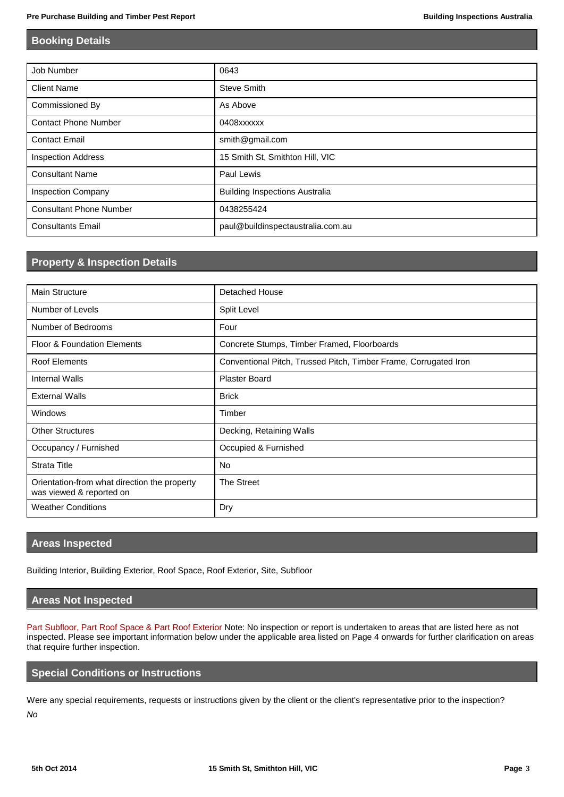## **Booking Details**

| Job Number                     | 0643                                  |
|--------------------------------|---------------------------------------|
| <b>Client Name</b>             | Steve Smith                           |
| Commissioned By                | As Above                              |
| <b>Contact Phone Number</b>    | 0408xxxxxx                            |
| <b>Contact Email</b>           | smith@gmail.com                       |
| <b>Inspection Address</b>      | 15 Smith St, Smithton Hill, VIC       |
| <b>Consultant Name</b>         | Paul Lewis                            |
| <b>Inspection Company</b>      | <b>Building Inspections Australia</b> |
| <b>Consultant Phone Number</b> | 0438255424                            |
| <b>Consultants Email</b>       | paul@buildinspectaustralia.com.au     |

## **Property & Inspection Details**

| <b>Main Structure</b>                                                    | <b>Detached House</b>                                            |
|--------------------------------------------------------------------------|------------------------------------------------------------------|
| Number of Levels                                                         | Split Level                                                      |
| Number of Bedrooms                                                       | Four                                                             |
| <b>Floor &amp; Foundation Elements</b>                                   | Concrete Stumps, Timber Framed, Floorboards                      |
| <b>Roof Elements</b>                                                     | Conventional Pitch, Trussed Pitch, Timber Frame, Corrugated Iron |
| <b>Internal Walls</b>                                                    | <b>Plaster Board</b>                                             |
| <b>External Walls</b>                                                    | <b>Brick</b>                                                     |
| Windows                                                                  | Timber                                                           |
| <b>Other Structures</b>                                                  | Decking, Retaining Walls                                         |
| Occupancy / Furnished                                                    | Occupied & Furnished                                             |
| <b>Strata Title</b>                                                      | No.                                                              |
| Orientation-from what direction the property<br>was viewed & reported on | The Street                                                       |
| <b>Weather Conditions</b>                                                | Dry                                                              |

## **Areas Inspected**

Building Interior, Building Exterior, Roof Space, Roof Exterior, Site, Subfloor

## **Areas Not Inspected**

Part Subfloor, Part Roof Space & Part Roof Exterior Note: No inspection or report is undertaken to areas that are listed here as not inspected. Please see important information below under the applicable area listed on Page 4 onwards for further clarification on areas that require further inspection.

## **Special Conditions or Instructions**

Were any special requirements, requests or instructions given by the client or the client's representative prior to the inspection? *No*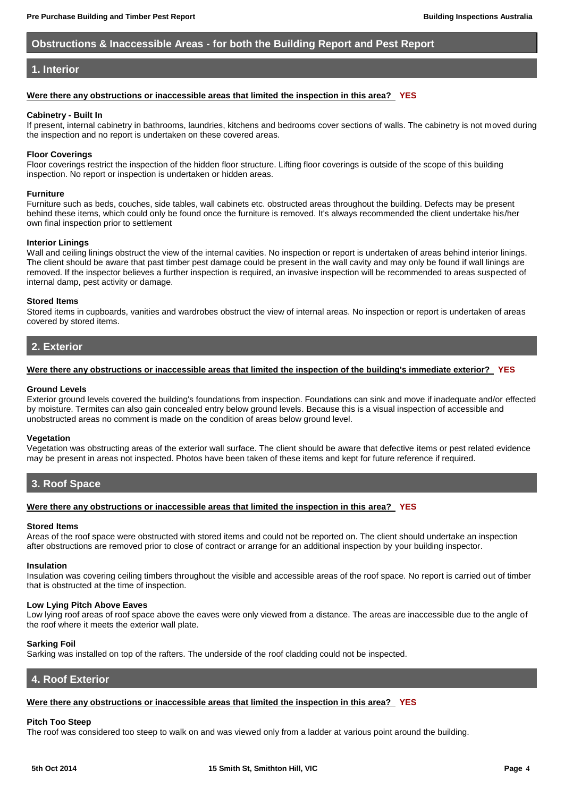## **Obstructions & Inaccessible Areas - for both the Building Report and Pest Report**

## <span id="page-3-0"></span>**1. Interior**

#### **Were there any obstructions or inaccessible areas that limited the inspection in this area? YES**

#### **Cabinetry - Built In**

If present, internal cabinetry in bathrooms, laundries, kitchens and bedrooms cover sections of walls. The cabinetry is not moved during the inspection and no report is undertaken on these covered areas.

#### **Floor Coverings**

Floor coverings restrict the inspection of the hidden floor structure. Lifting floor coverings is outside of the scope of this building inspection. No report or inspection is undertaken or hidden areas.

#### **Furniture**

Furniture such as beds, couches, side tables, wall cabinets etc. obstructed areas throughout the building. Defects may be present behind these items, which could only be found once the furniture is removed. It's always recommended the client undertake his/her own final inspection prior to settlement

## **Interior Linings**

Wall and ceiling linings obstruct the view of the internal cavities. No inspection or report is undertaken of areas behind interior linings. The client should be aware that past timber pest damage could be present in the wall cavity and may only be found if wall linings are removed. If the inspector believes a further inspection is required, an invasive inspection will be recommended to areas suspected of internal damp, pest activity or damage.

#### **Stored Items**

Stored items in cupboards, vanities and wardrobes obstruct the view of internal areas. No inspection or report is undertaken of areas covered by stored items.

## <span id="page-3-1"></span>**2. Exterior**

#### **Were there any obstructions or inaccessible areas that limited the inspection of the building's immediate exterior? YES**

#### **Ground Levels**

Exterior ground levels covered the building's foundations from inspection. Foundations can sink and move if inadequate and/or effected by moisture. Termites can also gain concealed entry below ground levels. Because this is a visual inspection of accessible and unobstructed areas no comment is made on the condition of areas below ground level.

#### **Vegetation**

Vegetation was obstructing areas of the exterior wall surface. The client should be aware that defective items or pest related evidence may be present in areas not inspected. Photos have been taken of these items and kept for future reference if required.

## <span id="page-3-2"></span>**3. Roof Space**

#### **Were there any obstructions or inaccessible areas that limited the inspection in this area? YES**

#### **Stored Items**

Areas of the roof space were obstructed with stored items and could not be reported on. The client should undertake an inspection after obstructions are removed prior to close of contract or arrange for an additional inspection by your building inspector.

#### **Insulation**

Insulation was covering ceiling timbers throughout the visible and accessible areas of the roof space. No report is carried out of timber that is obstructed at the time of inspection.

#### **Low Lying Pitch Above Eaves**

Low lying roof areas of roof space above the eaves were only viewed from a distance. The areas are inaccessible due to the angle of the roof where it meets the exterior wall plate.

## **Sarking Foil**

Sarking was installed on top of the rafters. The underside of the roof cladding could not be inspected.

## <span id="page-3-3"></span>**4. Roof Exterior**

## **Were there any obstructions or inaccessible areas that limited the inspection in this area? YES**

## **Pitch Too Steep**

The roof was considered too steep to walk on and was viewed only from a ladder at various point around the building.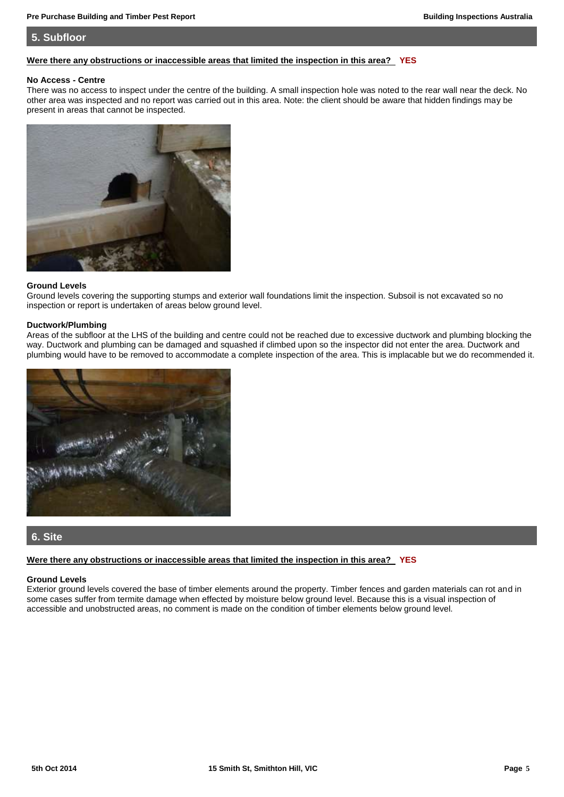## <span id="page-4-0"></span>**5. Subfloor**

## **Were there any obstructions or inaccessible areas that limited the inspection in this area? YES**

#### **No Access - Centre**

There was no access to inspect under the centre of the building. A small inspection hole was noted to the rear wall near the deck. No other area was inspected and no report was carried out in this area. Note: the client should be aware that hidden findings may be present in areas that cannot be inspected.



#### **Ground Levels**

Ground levels covering the supporting stumps and exterior wall foundations limit the inspection. Subsoil is not excavated so no inspection or report is undertaken of areas below ground level.

#### **Ductwork/Plumbing**

Areas of the subfloor at the LHS of the building and centre could not be reached due to excessive ductwork and plumbing blocking the way. Ductwork and plumbing can be damaged and squashed if climbed upon so the inspector did not enter the area. Ductwork and plumbing would have to be removed to accommodate a complete inspection of the area. This is implacable but we do recommended it.



## <span id="page-4-1"></span>**6. Site**

#### **Were there any obstructions or inaccessible areas that limited the inspection in this area? YES**

#### **Ground Levels**

Exterior ground levels covered the base of timber elements around the property. Timber fences and garden materials can rot and in some cases suffer from termite damage when effected by moisture below ground level. Because this is a visual inspection of accessible and unobstructed areas, no comment is made on the condition of timber elements below ground level.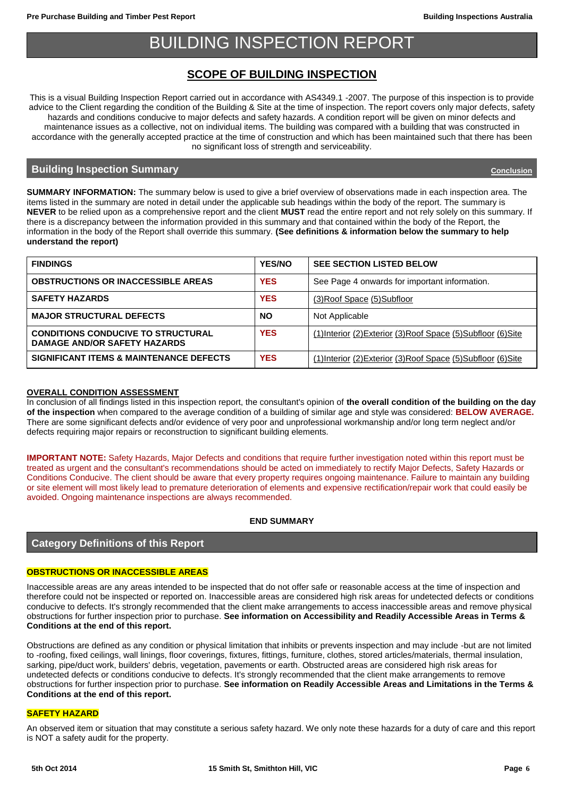## BUILDING INSPECTION REPORT

## <span id="page-5-0"></span>**SCOPE OF BUILDING INSPECTION**

This is a visual Building Inspection Report carried out in accordance with AS4349.1 -2007. The purpose of this inspection is to provide advice to the Client regarding the condition of the Building & Site at the time of inspection. The report covers only major defects, safety hazards and conditions conducive to major defects and safety hazards. A condition report will be given on minor defects and maintenance issues as a collective, not on individual items. The building was compared with a building that was constructed in accordance with the generally accepted practice at the time of construction and which has been maintained such that there has been no significant loss of strength and serviceability.

## **Building Inspection Summary [Conclusion](#page-26-0)**

**SUMMARY INFORMATION:** The summary below is used to give a brief overview of observations made in each inspection area. The items listed in the summary are noted in detail under the applicable sub headings within the body of the report. The summary is **NEVER** to be relied upon as a comprehensive report and the client **MUST** read the entire report and not rely solely on this summary. If there is a discrepancy between the information provided in this summary and that contained within the body of the Report, the information in the body of the Report shall override this summary. **(See definitions & information below the summary to help understand the report)**

| <b>FINDINGS</b>                                                                  | <b>YES/NO</b> | <b>SEE SECTION LISTED BELOW</b>                                |
|----------------------------------------------------------------------------------|---------------|----------------------------------------------------------------|
| <b>OBSTRUCTIONS OR INACCESSIBLE AREAS</b>                                        | <b>YES</b>    | See Page 4 onwards for important information.                  |
| <b>SAFETY HAZARDS</b>                                                            | <b>YES</b>    | (3) Roof Space (5) Subfloor                                    |
| <b>MAJOR STRUCTURAL DEFECTS</b>                                                  | <b>NO</b>     | Not Applicable                                                 |
| <b>CONDITIONS CONDUCIVE TO STRUCTURAL</b><br><b>DAMAGE AND/OR SAFETY HAZARDS</b> | <b>YES</b>    | (1) Interior (2) Exterior (3) Roof Space (5) Subfloor (6) Site |
| <b>SIGNIFICANT ITEMS &amp; MAINTENANCE DEFECTS</b>                               | <b>YES</b>    | (1) Interior (2) Exterior (3) Roof Space (5) Subfloor (6) Site |

## **OVERALL CONDITION ASSESSMENT**

In conclusion of all findings listed in this inspection report, the consultant's opinion of **the overall condition of the building on the day of the inspection** when compared to the average condition of a building of similar age and style was considered: **BELOW AVERAGE.** There are some significant defects and/or evidence of very poor and unprofessional workmanship and/or long term neglect and/or defects requiring major repairs or reconstruction to significant building elements.

**IMPORTANT NOTE:** Safety Hazards, Major Defects and conditions that require further investigation noted within this report must be treated as urgent and the consultant's recommendations should be acted on immediately to rectify Major Defects, Safety Hazards or Conditions Conducive. The client should be aware that every property requires ongoing maintenance. Failure to maintain any building or site element will most likely lead to premature deterioration of elements and expensive rectification/repair work that could easily be avoided. Ongoing maintenance inspections are always recommended.

## **END SUMMARY**

## **Category Definitions of this Report**

## **OBSTRUCTIONS OR INACCESSIBLE AREAS**

Inaccessible areas are any areas intended to be inspected that do not offer safe or reasonable access at the time of inspection and therefore could not be inspected or reported on. Inaccessible areas are considered high risk areas for undetected defects or conditions conducive to defects. It's strongly recommended that the client make arrangements to access inaccessible areas and remove physical obstructions for further inspection prior to purchase. **See information on Accessibility and Readily Accessible Areas in Terms & Conditions at the end of this report.** 

Obstructions are defined as any condition or physical limitation that inhibits or prevents inspection and may include -but are not limited to -roofing, fixed ceilings, wall linings, floor coverings, fixtures, fittings, furniture, clothes, stored articles/materials, thermal insulation, sarking, pipe/duct work, builders' debris, vegetation, pavements or earth. Obstructed areas are considered high risk areas for undetected defects or conditions conducive to defects. It's strongly recommended that the client make arrangements to remove obstructions for further inspection prior to purchase. **See information on Readily Accessible Areas and Limitations in the Terms & Conditions at the end of this report.**

## **SAFETY HAZARD**

An observed item or situation that may constitute a serious safety hazard. We only note these hazards for a duty of care and this report is NOT a safety audit for the property.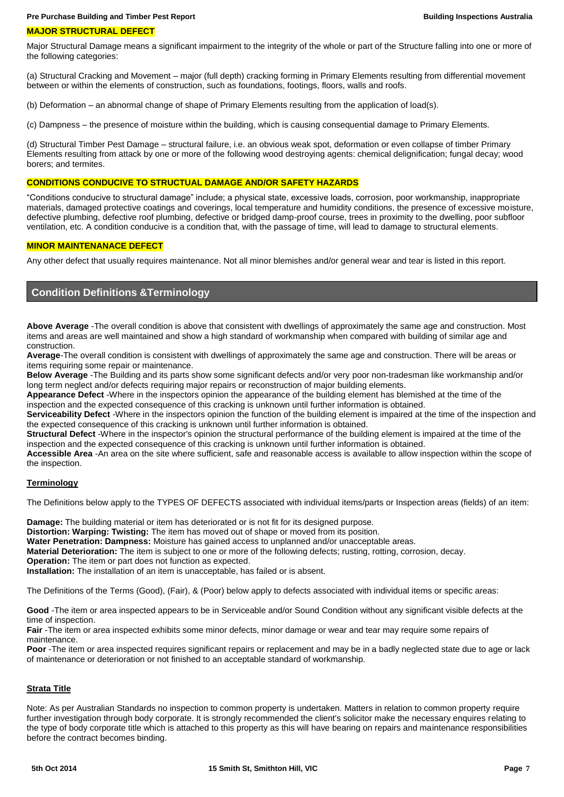#### **MAJOR STRUCTURAL DEFECT**

Major Structural Damage means a significant impairment to the integrity of the whole or part of the Structure falling into one or more of the following categories:

(a) Structural Cracking and Movement – major (full depth) cracking forming in Primary Elements resulting from differential movement between or within the elements of construction, such as foundations, footings, floors, walls and roofs.

(b) Deformation – an abnormal change of shape of Primary Elements resulting from the application of load(s).

(c) Dampness – the presence of moisture within the building, which is causing consequential damage to Primary Elements.

(d) Structural Timber Pest Damage – structural failure, i.e. an obvious weak spot, deformation or even collapse of timber Primary Elements resulting from attack by one or more of the following wood destroying agents: chemical delignification; fungal decay; wood borers; and termites.

## **CONDITIONS CONDUCIVE TO STRUCTUAL DAMAGE AND/OR SAFETY HAZARDS**

"Conditions conducive to structural damage" include; a physical state, excessive loads, corrosion, poor workmanship, inappropriate materials, damaged protective coatings and coverings, local temperature and humidity conditions, the presence of excessive moisture, defective plumbing, defective roof plumbing, defective or bridged damp-proof course, trees in proximity to the dwelling, poor subfloor ventilation, etc. A condition conducive is a condition that, with the passage of time, will lead to damage to structural elements.

#### **MINOR MAINTENANACE DEFECT**

Any other defect that usually requires maintenance. Not all minor blemishes and/or general wear and tear is listed in this report.

## **Condition Definitions &Terminology**

**Above Average** -The overall condition is above that consistent with dwellings of approximately the same age and construction. Most items and areas are well maintained and show a high standard of workmanship when compared with building of similar age and construction.

**Average**-The overall condition is consistent with dwellings of approximately the same age and construction. There will be areas or items requiring some repair or maintenance.

**Below Average** -The Building and its parts show some significant defects and/or very poor non-tradesman like workmanship and/or long term neglect and/or defects requiring major repairs or reconstruction of major building elements.

**Appearance Defect** -Where in the inspectors opinion the appearance of the building element has blemished at the time of the inspection and the expected consequence of this cracking is unknown until further information is obtained.

**Serviceability Defect** -Where in the inspectors opinion the function of the building element is impaired at the time of the inspection and the expected consequence of this cracking is unknown until further information is obtained.

**Structural Defect** -Where in the inspector's opinion the structural performance of the building element is impaired at the time of the inspection and the expected consequence of this cracking is unknown until further information is obtained.

**Accessible Area** -An area on the site where sufficient, safe and reasonable access is available to allow inspection within the scope of the inspection.

#### **Terminology**

The Definitions below apply to the TYPES OF DEFECTS associated with individual items/parts or Inspection areas (fields) of an item:

**Damage:** The building material or item has deteriorated or is not fit for its designed purpose.

**Distortion: Warping: Twisting:** The item has moved out of shape or moved from its position.

**Water Penetration: Dampness:** Moisture has gained access to unplanned and/or unacceptable areas.

**Material Deterioration:** The item is subject to one or more of the following defects; rusting, rotting, corrosion, decay.

**Operation:** The item or part does not function as expected.

**Installation:** The installation of an item is unacceptable, has failed or is absent.

The Definitions of the Terms (Good), (Fair), & (Poor) below apply to defects associated with individual items or specific areas:

**Good** -The item or area inspected appears to be in Serviceable and/or Sound Condition without any significant visible defects at the time of inspection.

**Fair** -The item or area inspected exhibits some minor defects, minor damage or wear and tear may require some repairs of maintenance.

**Poor** -The item or area inspected requires significant repairs or replacement and may be in a badly neglected state due to age or lack of maintenance or deterioration or not finished to an acceptable standard of workmanship.

## **Strata Title**

Note: As per Australian Standards no inspection to common property is undertaken. Matters in relation to common property require further investigation through body corporate. It is strongly recommended the client's solicitor make the necessary enquires relating to the type of body corporate title which is attached to this property as this will have bearing on repairs and maintenance responsibilities before the contract becomes binding.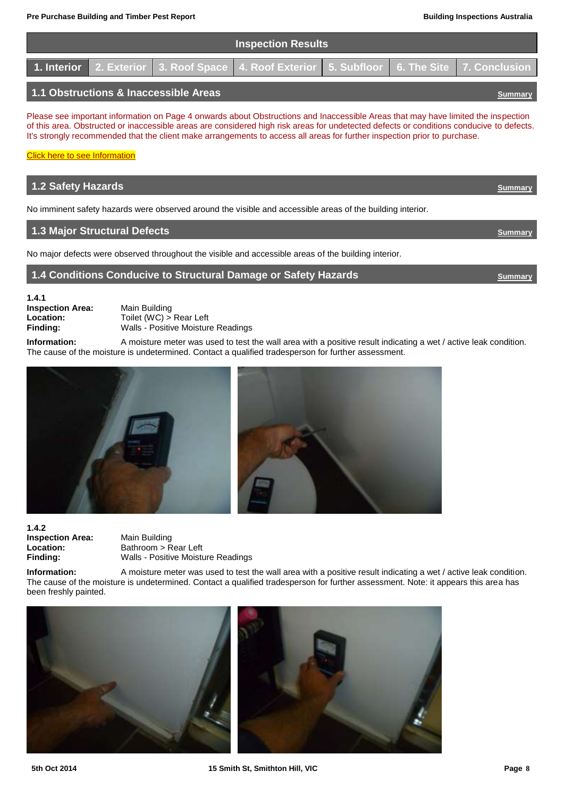|                                       |  |  | <b>Inspection Results</b>                                                                    |  |  |
|---------------------------------------|--|--|----------------------------------------------------------------------------------------------|--|--|
|                                       |  |  | 1. Interior 2. Exterior 3. Roof Space 4. Roof Exterior 5. Subfloor 6. The Site 7. Conclusion |  |  |
| 1.1 Obstructions & Inaccessible Areas |  |  |                                                                                              |  |  |

Please see important information on Page 4 onwards about Obstructions and Inaccessible Areas that may have limited the inspection of this area. Obstructed or inaccessible areas are considered high risk areas for undetected defects or conditions conducive to defects. It's strongly recommended that the client make arrangements to access all areas for further inspection prior to purchase.

## **[Click here to see Information](#page-3-0)**

## **1.2 Safety Hazards** *[Summary](#page-5-0)* No imminent safety hazards were observed around the visible and accessible areas of the building interior. **1.3 Major Structural Defects** *[Summary](#page-5-0)*

No major defects were observed throughout the visible and accessible areas of the building interior.

## <span id="page-7-0"></span>**1.4 Conditions Conducive to Structural Damage or Safety Hazards <b>***[Summary](#page-5-0)* Summary

**1.4.1 Inspection Area:** Main Building<br> **Location:** Toilet (WC) >

**Location:** Toilet (WC) > Rear Left<br> **Finding:** Walls - Positive Moistur **Finding:** Walls - Positive Moisture Readings

**Information:** A moisture meter was used to test the wall area with a positive result indicating a wet / active leak condition. The cause of the moisture is undetermined. Contact a qualified tradesperson for further assessment.



**1.4.2 Inspection Area:** Main Building<br> **Location:** Bathroom > R

**Location:** Bathroom > Rear Left **Finding:** Walls - Positive Moisture Readings

**Information:** A moisture meter was used to test the wall area with a positive result indicating a wet / active leak condition. The cause of the moisture is undetermined. Contact a qualified tradesperson for further assessment. Note: it appears this area has been freshly painted.



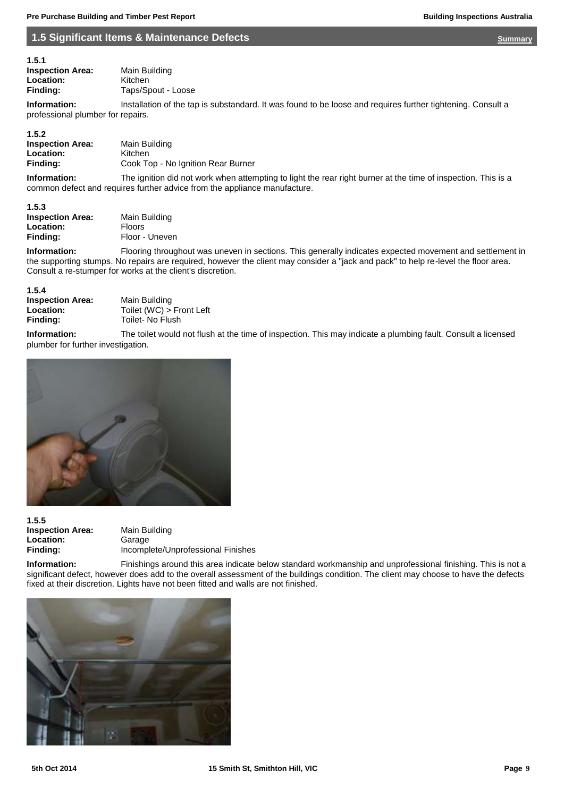## <span id="page-8-0"></span>**1.5 Significant Items & Maintenance Defects <b>[Summary](#page-5-0) Construction Construction** *Summary*

| 1.5.1                   |                    |
|-------------------------|--------------------|
| <b>Inspection Area:</b> | Main Building      |
| Location:               | Kitchen            |
| Finding:                | Taps/Spout - Loose |

**Information:** Installation of the tap is substandard. It was found to be loose and requires further tightening. Consult a professional plumber for repairs.

#### **1.5.2**

| <b>Inspection Area:</b> | Main Building                      |
|-------------------------|------------------------------------|
| <b>Location:</b>        | Kitchen                            |
| Finding:                | Cook Top - No Ignition Rear Burner |

**Information:** The ignition did not work when attempting to light the rear right burner at the time of inspection. This is a common defect and requires further advice from the appliance manufacture.

#### **1.5.3**

| <b>Inspection Area:</b> | Main Building  |
|-------------------------|----------------|
| <b>Location:</b>        | <b>Floors</b>  |
| Finding:                | Floor - Uneven |

**Information:** Flooring throughout was uneven in sections. This generally indicates expected movement and settlement in the supporting stumps. No repairs are required, however the client may consider a "jack and pack" to help re-level the floor area. Consult a re-stumper for works at the client's discretion.

#### **1.5.4**

| .                       |                          |
|-------------------------|--------------------------|
| <b>Inspection Area:</b> | Main Building            |
| Location:               | Toilet (WC) > Front Left |
| Finding:                | Toilet- No Flush         |

**Information:** The toilet would not flush at the time of inspection. This may indicate a plumbing fault. Consult a licensed plumber for further investigation.



| 1.5.5                   |
|-------------------------|
| <b>Inspection Area:</b> |
| Location:               |
| Finding:                |

**Main Building Location:** Garage **Finding:** Incomplete/Unprofessional Finishes

**Information:** Finishings around this area indicate below standard workmanship and unprofessional finishing. This is not a significant defect, however does add to the overall assessment of the buildings condition. The client may choose to have the defects fixed at their discretion. Lights have not been fitted and walls are not finished.

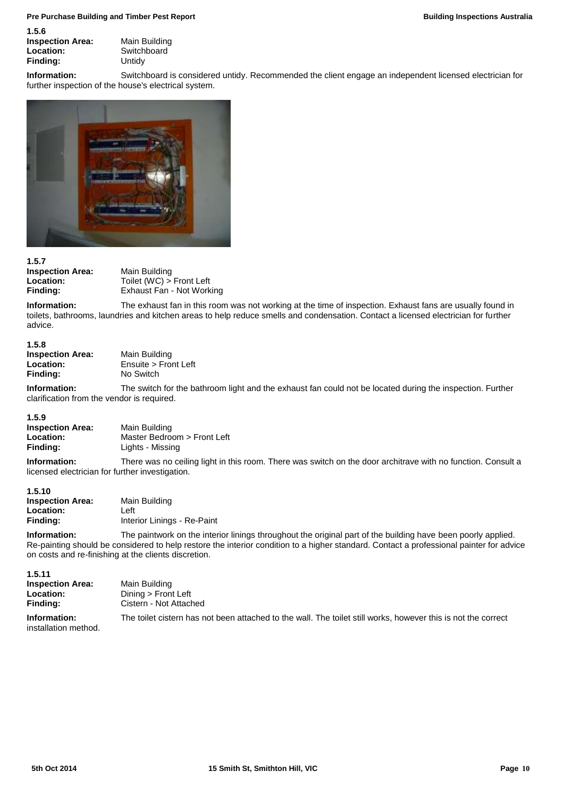| ס.כ. ו                 |
|------------------------|
| <b>Inspection Area</b> |
| Location:              |
| Finding:               |

**1.5.6**

**Inspection Area:** Main Building Switchboard<sup>:</sup> **Finding:** Untidy

**Information:** Switchboard is considered untidy. Recommended the client engage an independent licensed electrician for further inspection of the house's electrical system.



**1.5.7 Inspection Area:** Main Building<br> **Location:** Toilet (WC) >

**Location:** Toilet (WC) > Front Left<br> **Finding:** Exhaust Fan - Not Work **Exhaust Fan - Not Working** 

**Information:** The exhaust fan in this room was not working at the time of inspection. Exhaust fans are usually found in toilets, bathrooms, laundries and kitchen areas to help reduce smells and condensation. Contact a licensed electrician for further advice.

## **1.5.8**

**Inspection Area:** Main Building<br> **Location:** Ensuite > From **Location:** Ensuite > Front Left<br> **Finding:** No Switch **Finding:** No Switch

**Information:** The switch for the bathroom light and the exhaust fan could not be located during the inspection. Further clarification from the vendor is required.

#### **1.5.9 Inspection Area:** Main Building **Location:** Master Bedroom > Front Left<br> **Finding:** Lights - Missing **Finding:** Lights - Missing

**Information:** There was no ceiling light in this room. There was switch on the door architrave with no function. Consult a licensed electrician for further investigation.

| 1.5.10                  |                             |
|-------------------------|-----------------------------|
| <b>Inspection Area:</b> | Main Building               |
| Location:               | Left                        |
| Finding:                | Interior Linings - Re-Paint |

**Information:** The paintwork on the interior linings throughout the original part of the building have been poorly applied. Re-painting should be considered to help restore the interior condition to a higher standard. Contact a professional painter for advice on costs and re-finishing at the clients discretion.

**1.5.11 Inspection Area:** Main Building **Location:** Dining > Front Left **Finding:** Cistern - Not Attached **Information:** The toilet cistern has not been attached to the wall. The toilet still works, however this is not the correct installation method.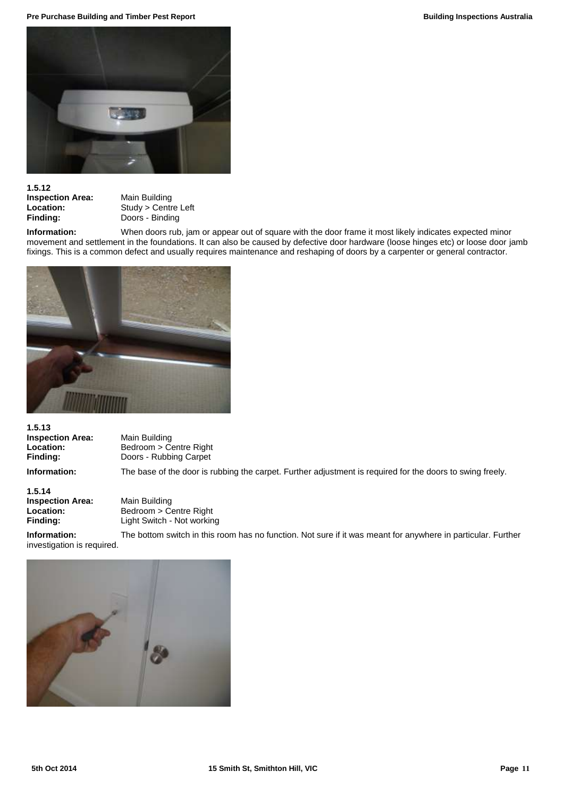**Pre Purchase Building and Timber Pest Report Building Inspections Australia Building Inspections Australia** 



## **1.5.12**

**Inspection Area:** Main Building<br> **Location:** Study > Centr

**Location:** Study > Centre Left<br> **Finding:** Doors - Binding **Finding:** Doors - Binding

**Information:** When doors rub, jam or appear out of square with the door frame it most likely indicates expected minor movement and settlement in the foundations. It can also be caused by defective door hardware (loose hinges etc) or loose door jamb fixings. This is a common defect and usually requires maintenance and reshaping of doors by a carpenter or general contractor.



**1.5.13 Inspection Area:** Main Building<br> **Location:** Bedroom > Co

**Location:** Bedroom > Centre Right<br> **Finding:** Doors - Rubbing Carpet **Finding:** Doors - Rubbing Carpet

**Information:** The base of the door is rubbing the carpet. Further adjustment is required for the doors to swing freely.

**1.5.14 Inspection Area:** Main Building<br> **Location:** Bedroom > Co

**Location:** Bedroom > Centre Right **Finding:** Light Switch - Not working

**Information:** The bottom switch in this room has no function. Not sure if it was meant for anywhere in particular. Further investigation is required.

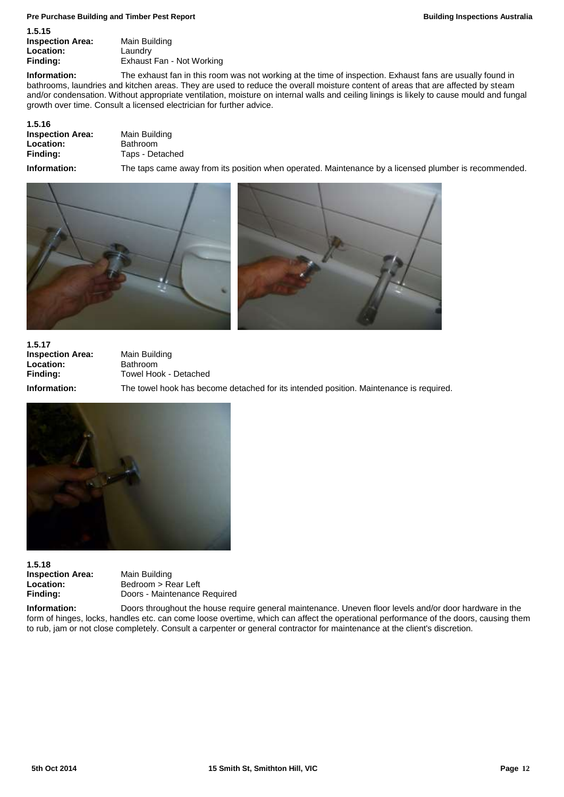#### **Pre Purchase Building and Timber Pest Report Building Inspections Australia**

| .                       |                           |
|-------------------------|---------------------------|
| <b>Inspection Area:</b> | Main Building             |
| Location:               | Laundrv                   |
| Finding:                | Exhaust Fan - Not Working |
|                         |                           |

**Information:** The exhaust fan in this room was not working at the time of inspection. Exhaust fans are usually found in bathrooms, laundries and kitchen areas. They are used to reduce the overall moisture content of areas that are affected by steam and/or condensation. Without appropriate ventilation, moisture on internal walls and ceiling linings is likely to cause mould and fungal growth over time. Consult a licensed electrician for further advice.

| Main Building   |
|-----------------|
| <b>Bathroom</b> |
| Taps - Detached |
|                 |

**1.5.15**

**Information:** The taps came away from its position when operated. Maintenance by a licensed plumber is recommended.





**1.5.17 Inspection Area:** Main Building<br> **Location:** Bathroom **Location:**<br>Finding:

**Finding:** Towel Hook - Detached **Information:** The towel hook has become detached for its intended position. Maintenance is required.



**1.5.18 Inspection Area:** Main Building<br> **Location:** Bedroom > Re

**Location:** Bedroom > Rear Left **Finding:** Doors - Maintenance Required

**Information:** Doors throughout the house require general maintenance. Uneven floor levels and/or door hardware in the form of hinges, locks, handles etc. can come loose overtime, which can affect the operational performance of the doors, causing them to rub, jam or not close completely. Consult a carpenter or general contractor for maintenance at the client's discretion.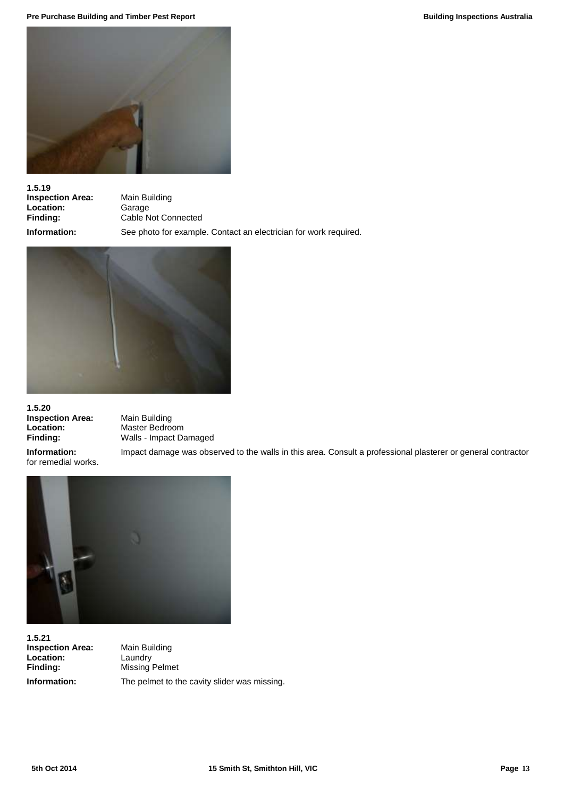**Pre Purchase Building and Timber Pest Report Building Inspections Australia Building Inspections Australia** 



**1.5.19 Inspection Area:** Main Building<br> **Location:** Garage **Location:**<br>Finding:

**Finding:** Cable Not Connected **Information:** See photo for example. Contact an electrician for work required.



**1.5.20 Inspection Area:** Main Building<br> **Location:** Master Bedro

**Location:** Master Bedroom **Finding:** Walls - Impact Damaged

for remedial works.

**Information:** Impact damage was observed to the walls in this area. Consult a professional plasterer or general contractor



**1.5.21 Inspection Area:** Main Building<br> **Location:** Laundry Location:<br>Finding:

**Finding:** Missing Pelmet **Information:** The pelmet to the cavity slider was missing.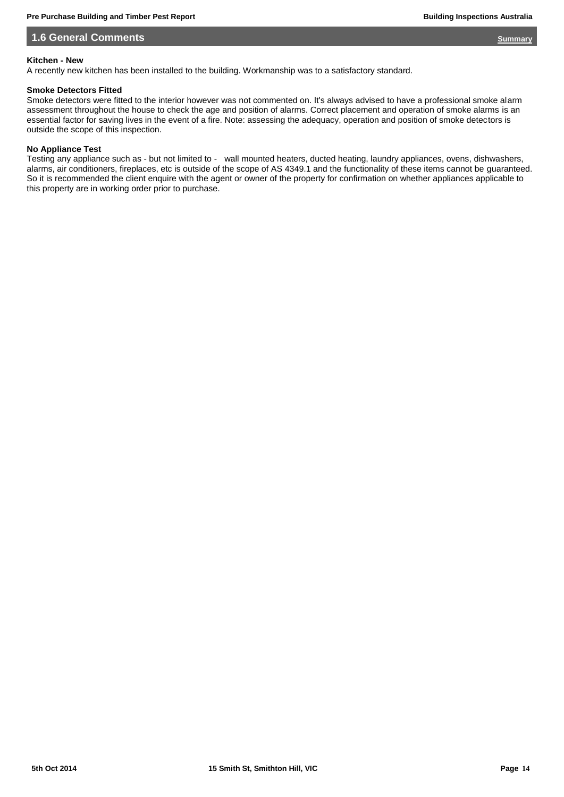## **1.6 General Comments** *[Summary](#page-5-0)*

## **Kitchen - New**

A recently new kitchen has been installed to the building. Workmanship was to a satisfactory standard.

## **Smoke Detectors Fitted**

Smoke detectors were fitted to the interior however was not commented on. It's always advised to have a professional smoke alarm assessment throughout the house to check the age and position of alarms. Correct placement and operation of smoke alarms is an essential factor for saving lives in the event of a fire. Note: assessing the adequacy, operation and position of smoke detectors is outside the scope of this inspection.

## **No Appliance Test**

Testing any appliance such as - but not limited to - wall mounted heaters, ducted heating, laundry appliances, ovens, dishwashers, alarms, air conditioners, fireplaces, etc is outside of the scope of AS 4349.1 and the functionality of these items cannot be guaranteed. So it is recommended the client enquire with the agent or owner of the property for confirmation on whether appliances applicable to this property are in working order prior to purchase.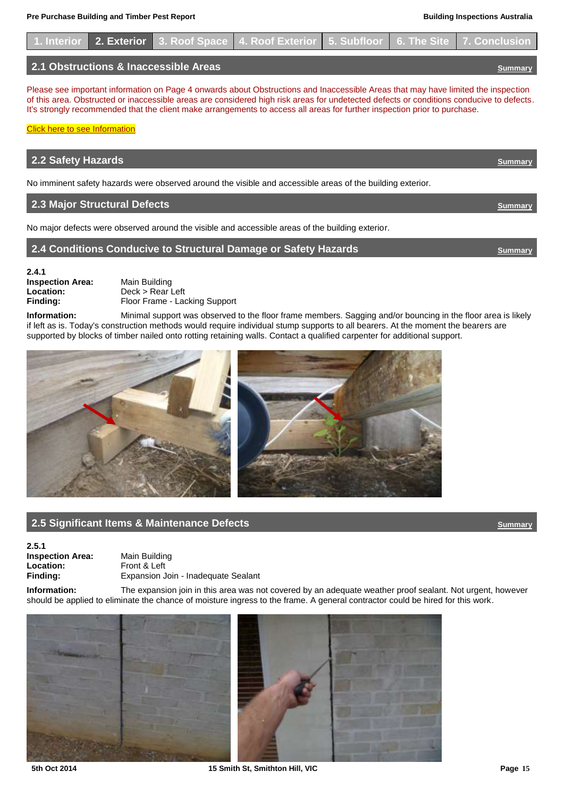

Please see important information on Page 4 onwards about Obstructions and Inaccessible Areas that may have limited the inspection of this area. Obstructed or inaccessible areas are considered high risk areas for undetected defects or conditions conducive to defects. It's strongly recommended that the client make arrangements to access all areas for further inspection prior to purchase.

| 2.2 Safety Hazards                                                                                         | Summary |
|------------------------------------------------------------------------------------------------------------|---------|
| No imminent safety hazards were observed around the visible and accessible areas of the building exterior. |         |
| 2.3 Major Structural Defects                                                                               |         |

No major defects were observed around the visible and accessible areas of the building exterior.

## **2.4 Conditions Conducive to Structural Damage or Safety Hazards** *[Summary](#page-5-0)*

<span id="page-14-0"></span>

**2.4.1 Inspection Area:** Main Building<br> **Location:** Deck > Rear L

**Location:** Deck > Rear Left<br>**Finding:** Floor Frame - La **Floor Frame - Lacking Support** 

**Information:** Minimal support was observed to the floor frame members. Sagging and/or bouncing in the floor area is likely if left as is. Today's construction methods would require individual stump supports to all bearers. At the moment the bearers are supported by blocks of timber nailed onto rotting retaining walls. Contact a qualified carpenter for additional support.





## **2.5 Significant Items & Maintenance Defects [Summary](#page-5-0) Construction of the Summary Summary**

**2.5.1 Inspection Area:** Main Building<br> **Location:** Front & Left **Location:** Front & Left<br> **Finding:** Expansion J

**Finding:** Expansion Join - Inadequate Sealant

**Information:** The expansion join in this area was not covered by an adequate weather proof sealant. Not urgent, however should be applied to eliminate the chance of moisture ingress to the frame. A general contractor could be hired for this work.



<span id="page-14-1"></span>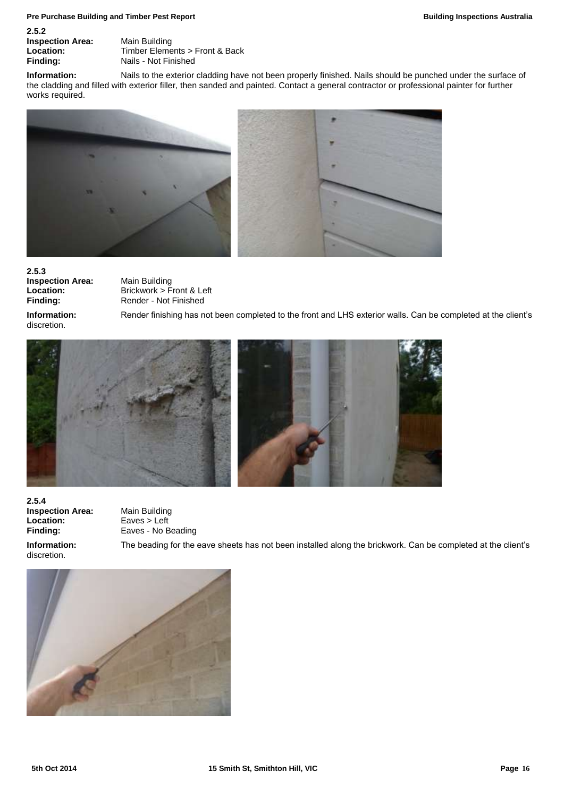#### **Pre Purchase Building and Timber Pest Report Building Inspections Australia Building Inspections Australia**

| 2.5.2                   |                                |
|-------------------------|--------------------------------|
| <b>Inspection Area:</b> | Main Building                  |
| Location:               | Timber Elements > Front & Back |
| Finding:                | Nails - Not Finished           |

**Information:** Nails to the exterior cladding have not been properly finished. Nails should be punched under the surface of the cladding and filled with exterior filler, then sanded and painted. Contact a general contractor or professional painter for further works required.



**2.5.3 Inspection Area:** Main Building<br> **Location:** Brickwork > F

**Location:** Brickwork > Front & Left<br>
Finding: Render - Not Finished **Finding:** Render - Not Finished

discretion.

**Information:** Render finishing has not been completed to the front and LHS exterior walls. Can be completed at the client's



**2.5.4 Inspection Area:** Main Building Location: Eaves > Left **Finding:** Eaves - No Beading

discretion.

**Information:** The beading for the eave sheets has not been installed along the brickwork. Can be completed at the client's

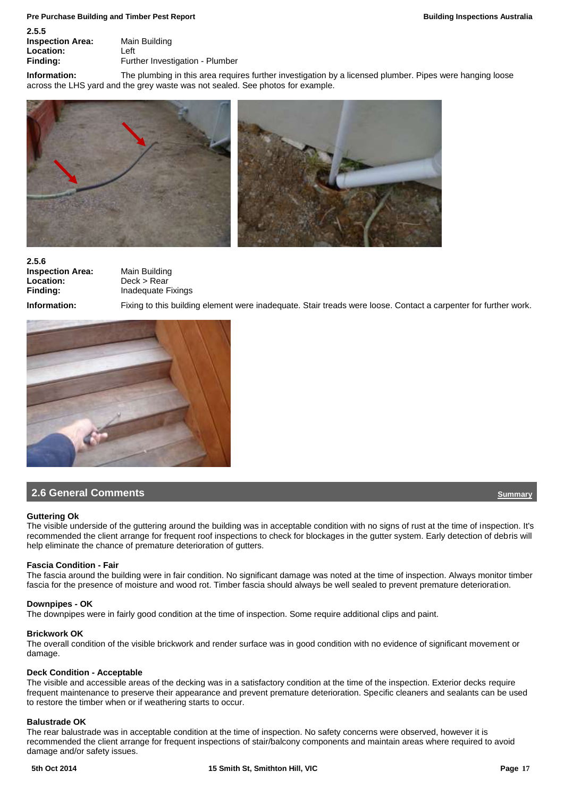| -----                   |                                 |
|-------------------------|---------------------------------|
| <b>Inspection Area:</b> | Main Building                   |
| Location:               | Left                            |
| Finding:                | Further Investigation - Plumber |
|                         |                                 |

**Information:** The plumbing in this area requires further investigation by a licensed plumber. Pipes were hanging loose across the LHS yard and the grey waste was not sealed. See photos for example.



**2.5.6 Inspection Area:** Main Building **Location:** Deck > Rear<br> **Finding:** Inadequate F

**Finding:** Inadequate Fixings

**2.5.5**

**Information:** Fixing to this building element were inadequate. Stair treads were loose. Contact a carpenter for further work.



## **2.6 General Comments Comments Comments Comments Comments Comments Comments Comments Comments Comments**

#### **Guttering Ok**

The visible underside of the guttering around the building was in acceptable condition with no signs of rust at the time of inspection. It's recommended the client arrange for frequent roof inspections to check for blockages in the gutter system. Early detection of debris will help eliminate the chance of premature deterioration of gutters.

## **Fascia Condition - Fair**

The fascia around the building were in fair condition. No significant damage was noted at the time of inspection. Always monitor timber fascia for the presence of moisture and wood rot. Timber fascia should always be well sealed to prevent premature deterioration.

#### **Downpipes - OK**

The downpipes were in fairly good condition at the time of inspection. Some require additional clips and paint.

#### **Brickwork OK**

The overall condition of the visible brickwork and render surface was in good condition with no evidence of significant movement or damage.

#### **Deck Condition - Acceptable**

The visible and accessible areas of the decking was in a satisfactory condition at the time of the inspection. Exterior decks require frequent maintenance to preserve their appearance and prevent premature deterioration. Specific cleaners and sealants can be used to restore the timber when or if weathering starts to occur.

## **Balustrade OK**

The rear balustrade was in acceptable condition at the time of inspection. No safety concerns were observed, however it is recommended the client arrange for frequent inspections of stair/balcony components and maintain areas where required to avoid damage and/or safety issues.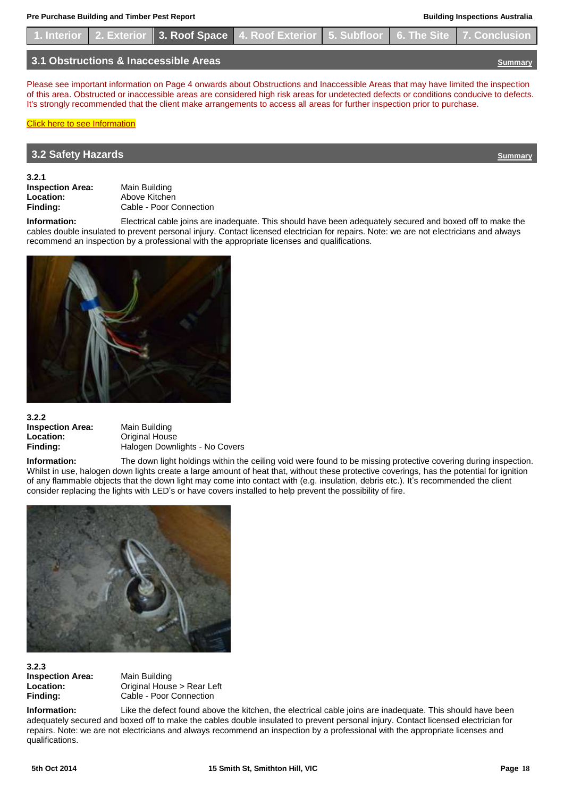|  |                                       | 1. Interior 2. Exterior 3. Roof Space 4. Roof Exterior 5. Subfloor 6. The Site 7. Conclusion |  |  |
|--|---------------------------------------|----------------------------------------------------------------------------------------------|--|--|
|  | 3.1 Obstructions & Inaccessible Areas |                                                                                              |  |  |

Please see important information on Page 4 onwards about Obstructions and Inaccessible Areas that may have limited the inspection of this area. Obstructed or inaccessible areas are considered high risk areas for undetected defects or conditions conducive to defects. It's strongly recommended that the client make arrangements to access all areas for further inspection prior to purchase.

## [Click here to see Information](#page-3-2)

## <span id="page-17-0"></span>**3.2 Safety Hazards** *[Summary](#page-5-0)*

**3.2.1**

**Inspection Area:** Main Building<br> **Location:** Above Kitcher **Location:** Above Kitchen<br> **Finding:** Cable - Poor C **Finding:** Cable - Poor Connection

**Information:** Electrical cable joins are inadequate. This should have been adequately secured and boxed off to make the cables double insulated to prevent personal injury. Contact licensed electrician for repairs. Note: we are not electricians and always recommend an inspection by a professional with the appropriate licenses and qualifications.



## **3.2.2 Inspection Area:** Main Building **Location:** Original House

**Finding:** Halogen Downlights - No Covers

**Information:** The down light holdings within the ceiling void were found to be missing protective covering during inspection. Whilst in use, halogen down lights create a large amount of heat that, without these protective coverings, has the potential for ignition of any flammable objects that the down light may come into contact with (e.g. insulation, debris etc.). It's recommended the client consider replacing the lights with LED's or have covers installed to help prevent the possibility of fire.



## **3.2.3 Inspection Area:** Main Building

Location: **Conservery Conservery Conservery Act 2013** 

**Finding:** Cable - Poor Connection

**Information:** Like the defect found above the kitchen, the electrical cable joins are inadequate. This should have been adequately secured and boxed off to make the cables double insulated to prevent personal injury. Contact licensed electrician for repairs. Note: we are not electricians and always recommend an inspection by a professional with the appropriate licenses and qualifications.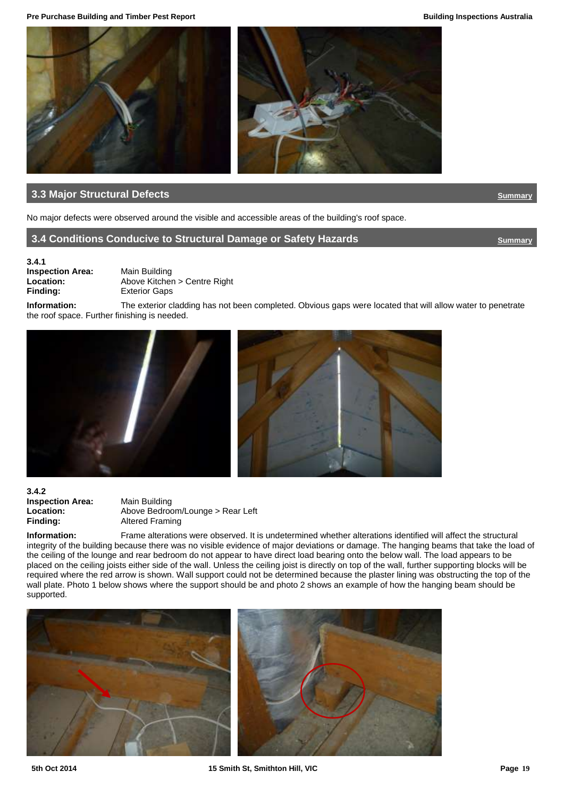**Pre Purchase Building and Timber Pest Report Building Inspections Australia**



## **13.3 Major Structural Defects** *[Summary](#page-5-0)*

No major defects were observed around the visible and accessible areas of the building's roof space.

## **3.4 Conditions Conducive to Structural Damage or Safety Hazards <b>[Summary](#page-5-0) Summary**

<span id="page-18-0"></span>

## **3.4.1 Inspection Area:** Main Building

**Location:** Above Kitchen > Centre Right<br> **Finding:** Exterior Gaps **Exterior Gaps** 

**Information:** The exterior cladding has not been completed. Obvious gaps were located that will allow water to penetrate the roof space. Further finishing is needed.





**3.4.2 Inspection Area:** Main Building<br> **Location:** Above Bedrod

**Location:** Above Bedroom/Lounge > Rear Left<br> **Finding:** Altered Framing **Altered Framing** 

**Information:** Frame alterations were observed. It is undetermined whether alterations identified will affect the structural integrity of the building because there was no visible evidence of major deviations or damage. The hanging beams that take the load of the ceiling of the lounge and rear bedroom do not appear to have direct load bearing onto the below wall. The load appears to be placed on the ceiling joists either side of the wall. Unless the ceiling joist is directly on top of the wall, further supporting blocks will be required where the red arrow is shown. Wall support could not be determined because the plaster lining was obstructing the top of the wall plate. Photo 1 below shows where the support should be and photo 2 shows an example of how the hanging beam should be supported.

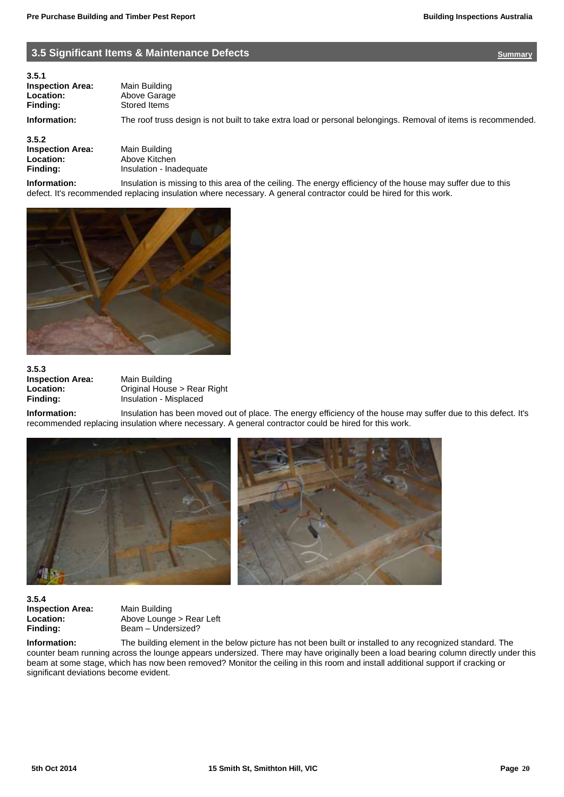## **1.5 Significant Items & Maintenance Defects [Summary](#page-5-0) Summary Summary Summary**

**3.5.1 Inspection Area:** Main Building<br> **Location:** Above Garage **Finding:** Stored Items

<span id="page-19-0"></span>**Location:** Above Garage

**Information:** The roof truss design is not built to take extra load or personal belongings. Removal of items is recommended.

**3.5.2**

**Inspection Area:** Main Building<br> **Location:** Above Kitcher **Location:** Above Kitchen<br> **Finding:** Insulation - Ina

**Finding:** Insulation - Inadequate

**Information:** Insulation is missing to this area of the ceiling. The energy efficiency of the house may suffer due to this defect. It's recommended replacing insulation where necessary. A general contractor could be hired for this work.



**3.5.3 Inspection Area:** Main Building<br> **Location:** Original Hous

**Location:** Original House > Rear Right<br> **Finding:** Insulation - Misplaced **Finding:** Insulation - Misplaced

**Information:** Insulation has been moved out of place. The energy efficiency of the house may suffer due to this defect. It's recommended replacing insulation where necessary. A general contractor could be hired for this work.



**3.5.4 Inspection Area:** Main Building

**Location:** Above Lounge > Rear Left Finding: Beam – Undersized?

**Information:** The building element in the below picture has not been built or installed to any recognized standard. The counter beam running across the lounge appears undersized. There may have originally been a load bearing column directly under this beam at some stage, which has now been removed? Monitor the ceiling in this room and install additional support if cracking or significant deviations become evident.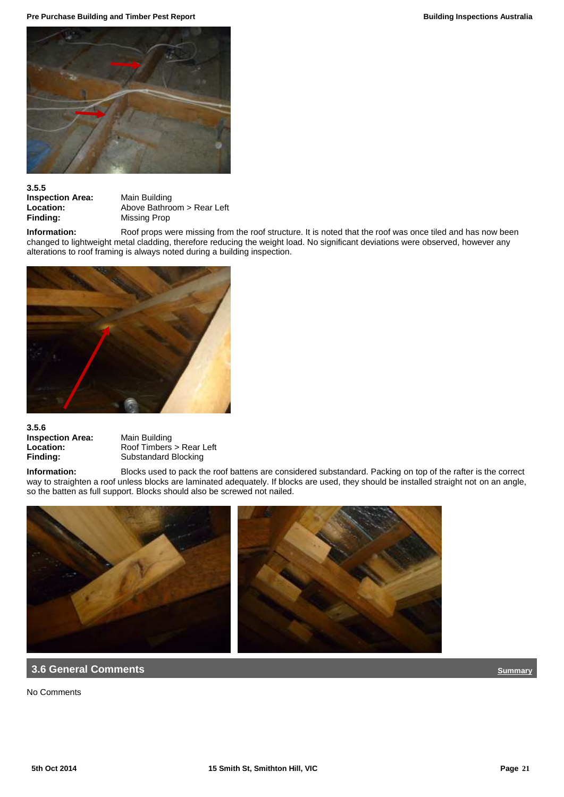**Pre Purchase Building and Timber Pest Report Building Inspections Australia Building Inspections Australia** 



# **3.5.5**

**Inspection Area:** Main Building<br> **Location:** Above Bathro **Location:** Above Bathroom > Rear Left<br> **Finding:** Missing Prop **Missing Prop** 

Information: Roof props were missing from the roof structure. It is noted that the roof was once tiled and has now been changed to lightweight metal cladding, therefore reducing the weight load. No significant deviations were observed, however any alterations to roof framing is always noted during a building inspection.



## **3.5.6 Inspection Area:** Main Building<br> **Location:** Roof Timbers

**Location:** Roof Timbers > Rear Left<br> **Finding:** Substandard Blocking **Finding:** Substandard Blocking

**Information:** Blocks used to pack the roof battens are considered substandard. Packing on top of the rafter is the correct way to straighten a roof unless blocks are laminated adequately. If blocks are used, they should be installed straight not on an angle, so the batten as full support. Blocks should also be screwed not nailed.



## **1.6 General Comments** *[Summary](#page-5-0)*

No Comments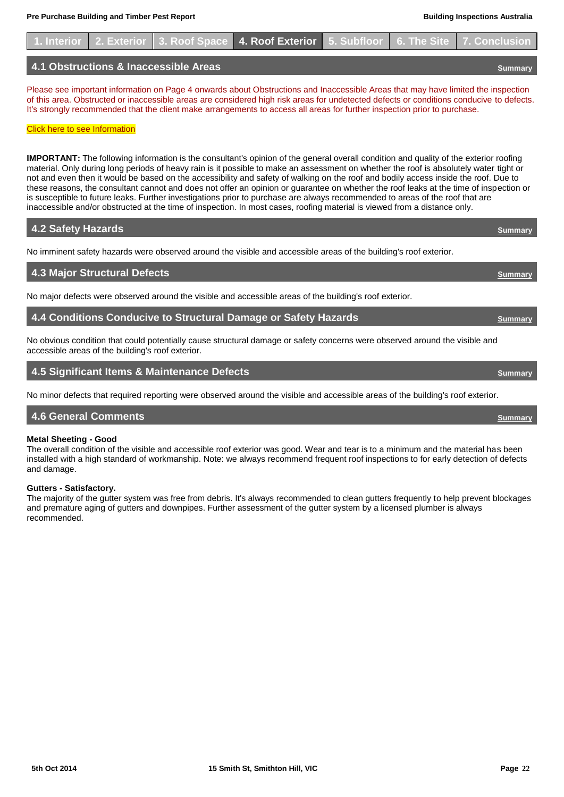|  |                                       | 1. Interior 2. Exterior 3. Roof Space 4. Roof Exterior 5. Subfloor 6. The Site 7. Conclusion |  |  |
|--|---------------------------------------|----------------------------------------------------------------------------------------------|--|--|
|  | 4.1 Obstructions & Inaccessible Areas |                                                                                              |  |  |

Please see important information on Page 4 onwards about Obstructions and Inaccessible Areas that may have limited the inspection of this area. Obstructed or inaccessible areas are considered high risk areas for undetected defects or conditions conducive to defects. It's strongly recommended that the client make arrangements to access all areas for further inspection prior to purchase.

#### **[Click here to see Information](#page-3-3)**

**IMPORTANT:** The following information is the consultant's opinion of the general overall condition and quality of the exterior roofing material. Only during long periods of heavy rain is it possible to make an assessment on whether the roof is absolutely water tight or not and even then it would be based on the accessibility and safety of walking on the roof and bodily access inside the roof. Due to these reasons, the consultant cannot and does not offer an opinion or guarantee on whether the roof leaks at the time of inspection or is susceptible to future leaks. Further investigations prior to purchase are always recommended to areas of the roof that are inaccessible and/or obstructed at the time of inspection. In most cases, roofing material is viewed from a distance only.

## **4.2 Safety Hazards** *[Summary](#page-5-0)*

No imminent safety hazards were observed around the visible and accessible areas of the building's roof exterior.

## **4.3 Major Structural Defects [Summary](#page-5-0)**

No major defects were observed around the visible and accessible areas of the building's roof exterior.

## **4.4 Conditions Conducive to Structural Damage or Safety Hazards <b>***[Summary](#page-5-0)* Summary

No obvious condition that could potentially cause structural damage or safety concerns were observed around the visible and accessible areas of the building's roof exterior.

## **4.5 Significant Items & Maintenance Defects [Summary](#page-5-0)**

No minor defects that required reporting were observed around the visible and accessible areas of the building's roof exterior.

## **4.6 General Comments** *[Summary](#page-5-0)*

## **Metal Sheeting - Good**

The overall condition of the visible and accessible roof exterior was good. Wear and tear is to a minimum and the material has been installed with a high standard of workmanship. Note: we always recommend frequent roof inspections to for early detection of defects and damage.

## **Gutters - Satisfactory.**

The majority of the gutter system was free from debris. It's always recommended to clean gutters frequently to help prevent blockages and premature aging of gutters and downpipes. Further assessment of the gutter system by a licensed plumber is always recommended.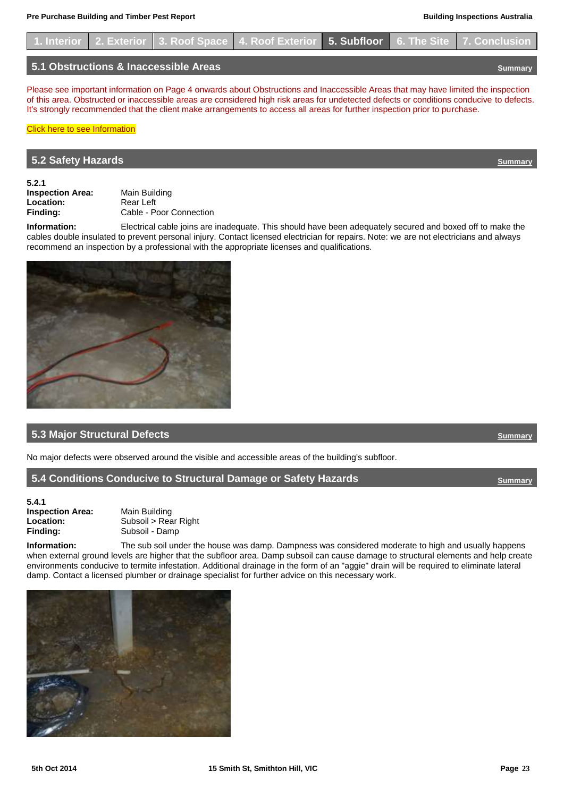

## **5.1 Obstructions & Inaccessible Areas [Summary](#page-5-0)**

Please see important information on Page 4 onwards about Obstructions and Inaccessible Areas that may have limited the inspection of this area. Obstructed or inaccessible areas are considered high risk areas for undetected defects or conditions conducive to defects. It's strongly recommended that the client make arrangements to access all areas for further inspection prior to purchase.

## **[Click here to see Information](#page-4-0)**

## **5.2 Safety Hazards [Summary](#page-5-0)**

**5.2.1 Inspection Area:** Main Building<br> **Location:** Rear Left Location:<br>Finding:

<span id="page-22-0"></span>**Finding:** Cable - Poor Connection

**Information:** Electrical cable joins are inadequate. This should have been adequately secured and boxed off to make the cables double insulated to prevent personal injury. Contact licensed electrician for repairs. Note: we are not electricians and always recommend an inspection by a professional with the appropriate licenses and qualifications.



## **5.3 Major Structural Defects** *[Summary](#page-5-0) Summary* **<b>***Summary Summary Summary Summary*

No major defects were observed around the visible and accessible areas of the building's subfloor.

## **5.4 Conditions Conducive to Structural Damage or Safety Hazards <b>[Summary](#page-5-0) Summary**

**5.4.1 Inspection Area:** Main Building Finding: Subsoil - Damp

Location: Subsoil > Rear Right

**Information:** The sub soil under the house was damp. Dampness was considered moderate to high and usually happens when external ground levels are higher that the subfloor area. Damp subsoil can cause damage to structural elements and help create environments conducive to termite infestation. Additional drainage in the form of an "aggie" drain will be required to eliminate lateral damp. Contact a licensed plumber or drainage specialist for further advice on this necessary work.



<span id="page-22-1"></span>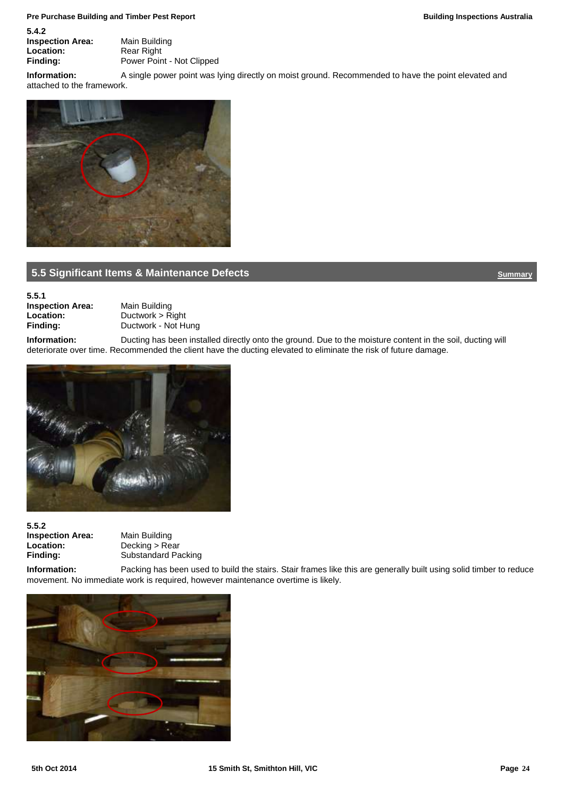#### **Pre Purchase Building and Timber Pest Report Building Inspections Australia Building Inspections Australia**

**5.4.2 Inspection Area:** Main Building<br> **Location:** Rear Right **Location:** Rear Right<br> **Finding:** Power Poin

Power Point - Not Clipped **Information:** A single power point was lying directly on moist ground. Recommended to have the point elevated and

attached to the framework.



## **5.5 Significant Items & Maintenance Defects [Summary](#page-5-0) Summary Summary Summary**

**5.5.1 Inspection Area:** Main Building<br> **Location:** Ductwork > R **Location:** Ductwork > Right<br>Finding: Ductwork - Not Hi

<span id="page-23-0"></span>**Finding:** Ductwork - Not Hung

**Information:** Ducting has been installed directly onto the ground. Due to the moisture content in the soil, ducting will deteriorate over time. Recommended the client have the ducting elevated to eliminate the risk of future damage.



**5.5.2 Inspection Area:** Main Building<br> **Location:** Decking > Re **Location:** Decking > Rear<br> **Finding:** Substandard Pa

**Finding:** Substandard Packing

**Information:** Packing has been used to build the stairs. Stair frames like this are generally built using solid timber to reduce movement. No immediate work is required, however maintenance overtime is likely.

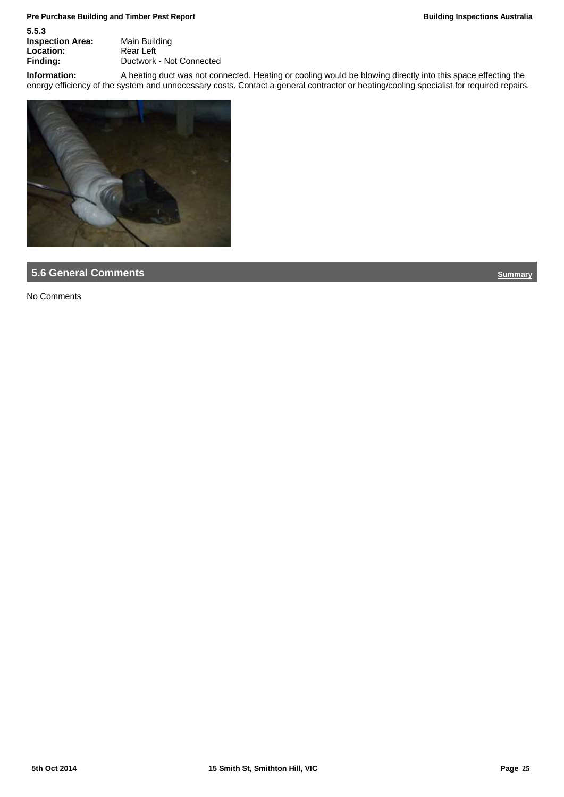## **Pre Purchase Building and Timber Pest Report Building Inspections Australia Building Inspections Australia**

| Main Building            |
|--------------------------|
| Rear Left                |
| Ductwork - Not Connected |
|                          |

**Information:** A heating duct was not connected. Heating or cooling would be blowing directly into this space effecting the energy efficiency of the system and unnecessary costs. Contact a general contractor or heating/cooling specialist for required repairs.



## **5.6 General Comments**

No Comments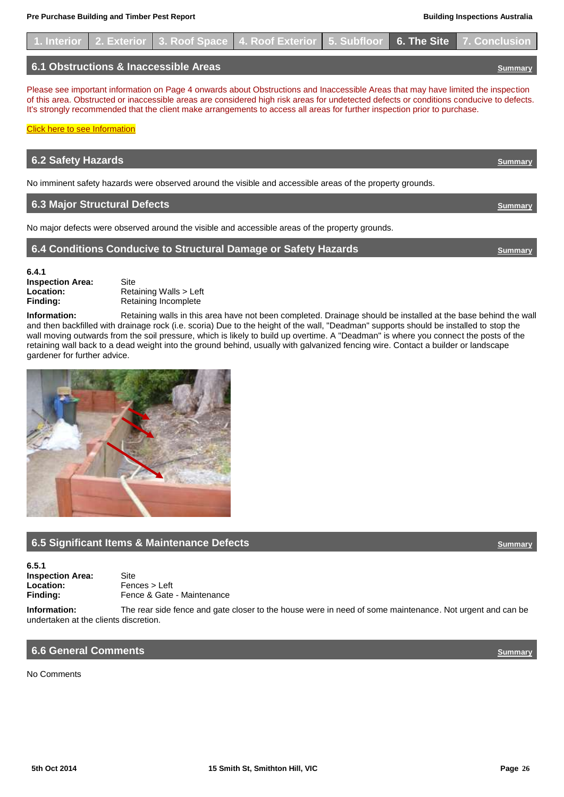**[Click here to see Information](#page-4-1)** 

**6.4.1**



Please see important information on Page 4 onwards about Obstructions and Inaccessible Areas that may have limited the inspection of this area. Obstructed or inaccessible areas are considered high risk areas for undetected defects or conditions conducive to defects. It's strongly recommended that the client make arrangements to access all areas for further inspection prior to purchase.

**6.2 Safety Hazards** *[Summary](#page-5-0)* 

**6.3 Major Structural Defects <b>[Summary](#page-5-0)** *Summary* 

<span id="page-25-0"></span>**6.4 Conditions Conducive to Structural Damage or Safety Hazards** *[Summary](#page-5-0)* 

No imminent safety hazards were observed around the visible and accessible areas of the property grounds.

No major defects were observed around the visible and accessible areas of the property grounds.

**6.5.1**

No Comments

**Inspection Area:** Site **Location:** Retaining Walls > Left<br> **Finding:** Retaining Incomplete **Finding:** Retaining Incomplete

**Information:** Retaining walls in this area have not been completed. Drainage should be installed at the base behind the wall and then backfilled with drainage rock (i.e. scoria) Due to the height of the wall, "Deadman" supports should be installed to stop the wall moving outwards from the soil pressure, which is likely to build up overtime. A "Deadman" is where you connect the posts of the retaining wall back to a dead weight into the ground behind, usually with galvanized fencing wire. Contact a builder or landscape gardener for further advice.



## <span id="page-25-1"></span>**6.5 Significant Items & Maintenance Defects [Summary](#page-5-0) Summary Summary Summary**

**Inspection Area:** Site<br> **Location:** Fen **Location:** Fences > Left<br> **Finding:** Fence & Gate Fence & Gate - Maintenance

**Information:** The rear side fence and gate closer to the house were in need of some maintenance. Not urgent and can be undertaken at the clients discretion.

## **6.6 General Comments** *[Summary](#page-5-0)*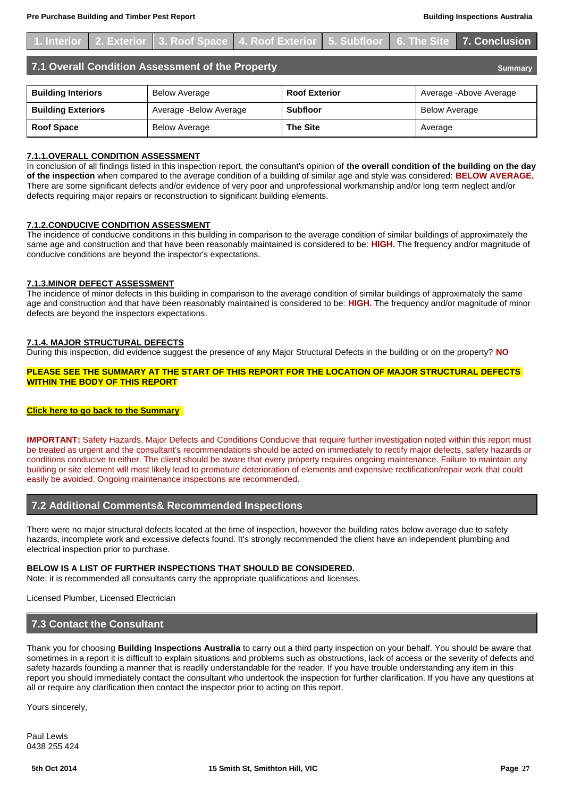<span id="page-26-0"></span>

|                                                                    |  | 1. Interior 2. Exterior 3. Roof Space 4. Roof Exterior 5. Subfloor 6. The Site 7. Conclusion |                      |  |  |                      |                         |
|--------------------------------------------------------------------|--|----------------------------------------------------------------------------------------------|----------------------|--|--|----------------------|-------------------------|
| 7.1 Overall Condition Assessment of the Property<br><b>Summary</b> |  |                                                                                              |                      |  |  |                      |                         |
| <b>Building Interiors</b>                                          |  | <b>Below Average</b>                                                                         | <b>Roof Exterior</b> |  |  |                      | Average - Above Average |
| <b>Building Exteriors</b>                                          |  | Average - Below Average                                                                      | <b>Subfloor</b>      |  |  | <b>Below Average</b> |                         |
| <b>Roof Space</b>                                                  |  | <b>Below Average</b>                                                                         | <b>The Site</b>      |  |  | Average              |                         |

#### **7.1.1.OVERALL CONDITION ASSESSMENT**

In conclusion of all findings listed in this inspection report, the consultant's opinion of **the overall condition of the building on the day of the inspection** when compared to the average condition of a building of similar age and style was considered: **BELOW AVERAGE.** There are some significant defects and/or evidence of very poor and unprofessional workmanship and/or long term neglect and/or defects requiring major repairs or reconstruction to significant building elements.

#### **7.1.2.CONDUCIVE CONDITION ASSESSMENT**

The incidence of conducive conditions in this building in comparison to the average condition of similar buildings of approximately the same age and construction and that have been reasonably maintained is considered to be: **HIGH.** The frequency and/or magnitude of conducive conditions are beyond the inspector's expectations.

#### **7.1.3.MINOR DEFECT ASSESSMENT**

The incidence of minor defects in this building in comparison to the average condition of similar buildings of approximately the same age and construction and that have been reasonably maintained is considered to be: **HIGH.** The frequency and/or magnitude of minor defects are beyond the inspectors expectations.

#### **7.1.4. MAJOR STRUCTURAL DEFECTS**

During this inspection, did evidence suggest the presence of any Major Structural Defects in the building or on the property? **NO**

#### **PLEASE SEE THE SUMMARY AT THE START OF THIS REPORT FOR THE LOCATION OF MAJOR STRUCTURAL DEFECTS WITHIN THE BODY OF THIS REPORT**

#### **[Click here to go back to the Summary](#page-5-0)**

**IMPORTANT:** Safety Hazards, Major Defects and Conditions Conducive that require further investigation noted within this report must be treated as urgent and the consultant's recommendations should be acted on immediately to rectify major defects, safety hazards or conditions conducive to either. The client should be aware that every property requires ongoing maintenance. Failure to maintain any building or site element will most likely lead to premature deterioration of elements and expensive rectification/repair work that could easily be avoided. Ongoing maintenance inspections are recommended.

## **7.2 Additional Comments& Recommended Inspections**

There were no major structural defects located at the time of inspection, however the building rates below average due to safety hazards, incomplete work and excessive defects found. It's strongly recommended the client have an independent plumbing and electrical inspection prior to purchase.

#### **BELOW IS A LIST OF FURTHER INSPECTIONS THAT SHOULD BE CONSIDERED.**

Note: it is recommended all consultants carry the appropriate qualifications and licenses.

Licensed Plumber, Licensed Electrician

## **7.3 Contact the Consultant**

Thank you for choosing **Building Inspections Australia** to carry out a third party inspection on your behalf. You should be aware that sometimes in a report it is difficult to explain situations and problems such as obstructions, lack of access or the severity of defects and safety hazards founding a manner that is readily understandable for the reader. If you have trouble understanding any item in this report you should immediately contact the consultant who undertook the inspection for further clarification. If you have any questions at all or require any clarification then contact the inspector prior to acting on this report.

Yours sincerely,

Paul Lewis 0438 255 424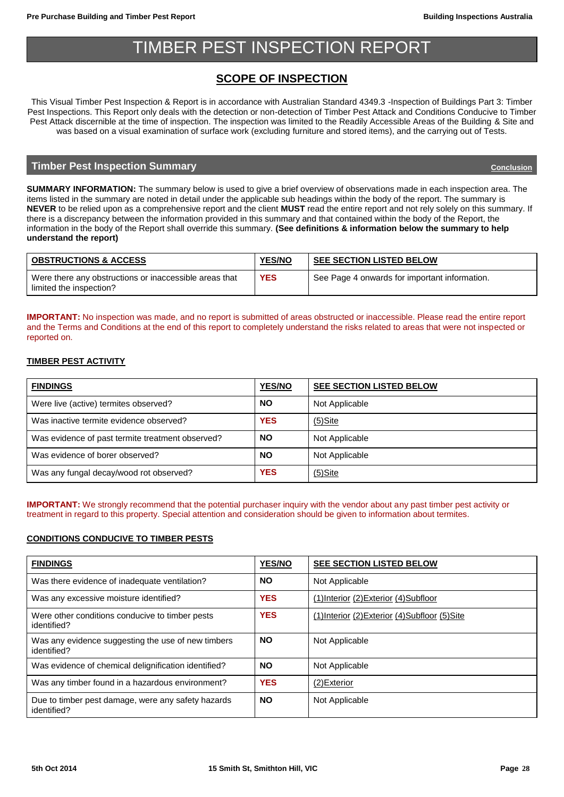## TIMBER PEST INSPECTION REPORT

## <span id="page-27-0"></span>**SCOPE OF INSPECTION**

This Visual Timber Pest Inspection & Report is in accordance with Australian Standard 4349.3 -Inspection of Buildings Part 3: Timber Pest Inspections. This Report only deals with the detection or non-detection of Timber Pest Attack and Conditions Conducive to Timber Pest Attack discernible at the time of inspection. The inspection was limited to the Readily Accessible Areas of the Building & Site and was based on a visual examination of surface work (excluding furniture and stored items), and the carrying out of Tests.

## **Timber Pest Inspection Summary** *Alexandre [Conclusion](#page-39-0)* **Conclusion Conclusion Conclusion**

**SUMMARY INFORMATION:** The summary below is used to give a brief overview of observations made in each inspection area. The items listed in the summary are noted in detail under the applicable sub headings within the body of the report. The summary is **NEVER** to be relied upon as a comprehensive report and the client **MUST** read the entire report and not rely solely on this summary. If there is a discrepancy between the information provided in this summary and that contained within the body of the Report, the information in the body of the Report shall override this summary. **(See definitions & information below the summary to help understand the report)**

| <b>OBSTRUCTIONS &amp; ACCESS</b>                                                  | <b>YES/NO</b> | <b>SEE SECTION LISTED BELOW</b>               |
|-----------------------------------------------------------------------------------|---------------|-----------------------------------------------|
| Were there any obstructions or inaccessible areas that<br>limited the inspection? | <b>YES</b>    | See Page 4 onwards for important information. |

**IMPORTANT:** No inspection was made, and no report is submitted of areas obstructed or inaccessible. Please read the entire report and the Terms and Conditions at the end of this report to completely understand the risks related to areas that were not inspected or reported on.

## **TIMBER PEST ACTIVITY**

| <b>FINDINGS</b>                                  | <b>YES/NO</b> | <b>SEE SECTION LISTED BELOW</b> |
|--------------------------------------------------|---------------|---------------------------------|
| Were live (active) termites observed?            | <b>NO</b>     | Not Applicable                  |
| Was inactive termite evidence observed?          | <b>YES</b>    | $(5)$ Site                      |
| Was evidence of past termite treatment observed? | <b>NO</b>     | Not Applicable                  |
| Was evidence of borer observed?                  | <b>NO</b>     | Not Applicable                  |
| Was any fungal decay/wood rot observed?          | <b>YES</b>    | $(5)$ Site                      |

**IMPORTANT:** We strongly recommend that the potential purchaser inquiry with the vendor about any past timber pest activity or treatment in regard to this property. Special attention and consideration should be given to information about termites.

## **CONDITIONS CONDUCIVE TO TIMBER PESTS**

| <b>FINDINGS</b>                                                   | <b>YES/NO</b> | SEE SECTION LISTED BELOW                        |
|-------------------------------------------------------------------|---------------|-------------------------------------------------|
| Was there evidence of inadequate ventilation?                     | <b>NO</b>     | Not Applicable                                  |
| Was any excessive moisture identified?                            | <b>YES</b>    | (1) Interior (2) Exterior (4) Subfloor          |
| Were other conditions conducive to timber pests<br>identified?    | <b>YES</b>    | (1) Interior (2) Exterior (4) Subfloor (5) Site |
| Was any evidence suggesting the use of new timbers<br>identified? | <b>NO</b>     | Not Applicable                                  |
| Was evidence of chemical delignification identified?              | <b>NO</b>     | Not Applicable                                  |
| Was any timber found in a hazardous environment?                  | <b>YES</b>    | (2) Exterior                                    |
| Due to timber pest damage, were any safety hazards<br>identified? | <b>NO</b>     | Not Applicable                                  |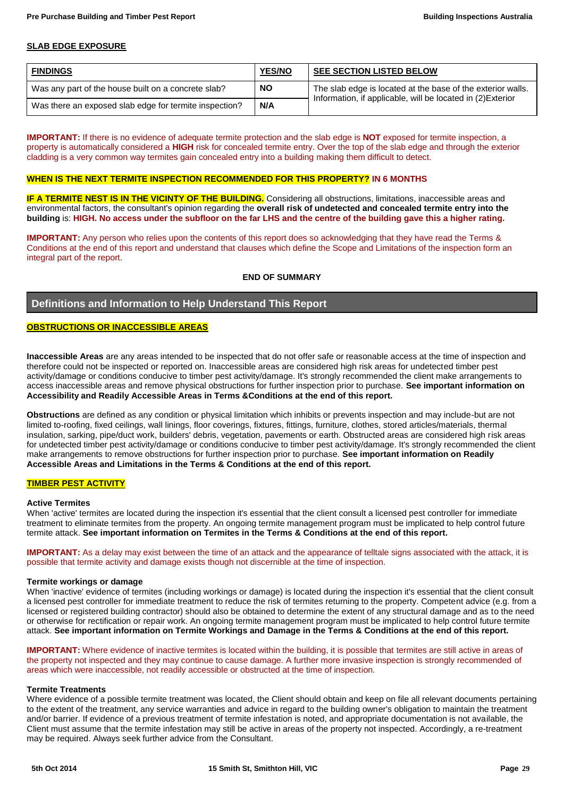## **SLAB EDGE EXPOSURE**

| <b>FINDINGS</b>                                        | <b>YES/NO</b> | <b>SEE SECTION LISTED BELOW</b>                             |
|--------------------------------------------------------|---------------|-------------------------------------------------------------|
| Was any part of the house built on a concrete slab?    | <b>NO</b>     | The slab edge is located at the base of the exterior walls. |
| Was there an exposed slab edge for termite inspection? | N/A           | Information, if applicable, will be located in (2) Exterior |

**IMPORTANT:** If there is no evidence of adequate termite protection and the slab edge is **NOT** exposed for termite inspection, a property is automatically considered a **HIGH** risk for concealed termite entry. Over the top of the slab edge and through the exterior cladding is a very common way termites gain concealed entry into a building making them difficult to detect.

#### **WHEN IS THE NEXT TERMITE INSPECTION RECOMMENDED FOR THIS PROPERTY? IN 6 MONTHS**

**IF A TERMITE NEST IS IN THE VICINTY OF THE BUILDING.** Considering all obstructions, limitations, inaccessible areas and environmental factors, the consultant's opinion regarding the **overall risk of undetected and concealed termite entry into the building** is: **HIGH. No access under the subfloor on the far LHS and the centre of the building gave this a higher rating.**

**IMPORTANT:** Any person who relies upon the contents of this report does so acknowledging that they have read the Terms & Conditions at the end of this report and understand that clauses which define the Scope and Limitations of the inspection form an integral part of the report.

## **END OF SUMMARY**

## **Definitions and Information to Help Understand This Report**

## **OBSTRUCTIONS OR INACCESSIBLE AREAS**

**Inaccessible Areas** are any areas intended to be inspected that do not offer safe or reasonable access at the time of inspection and therefore could not be inspected or reported on. Inaccessible areas are considered high risk areas for undetected timber pest activity/damage or conditions conducive to timber pest activity/damage. It's strongly recommended the client make arrangements to access inaccessible areas and remove physical obstructions for further inspection prior to purchase. **See important information on Accessibility and Readily Accessible Areas in Terms &Conditions at the end of this report.**

**Obstructions** are defined as any condition or physical limitation which inhibits or prevents inspection and may include-but are not limited to-roofing, fixed ceilings, wall linings, floor coverings, fixtures, fittings, furniture, clothes, stored articles/materials, thermal insulation, sarking, pipe/duct work, builders' debris, vegetation, pavements or earth. Obstructed areas are considered high risk areas for undetected timber pest activity/damage or conditions conducive to timber pest activity/damage. It's strongly recommended the client make arrangements to remove obstructions for further inspection prior to purchase. **See important information on Readily Accessible Areas and Limitations in the Terms & Conditions at the end of this report.**

## **TIMBER PEST ACTIVITY**

#### **Active Termites**

When 'active' termites are located during the inspection it's essential that the client consult a licensed pest controller for immediate treatment to eliminate termites from the property. An ongoing termite management program must be implicated to help control future termite attack. **See important information on Termites in the Terms & Conditions at the end of this report.**

**IMPORTANT:** As a delay may exist between the time of an attack and the appearance of telltale signs associated with the attack, it is possible that termite activity and damage exists though not discernible at the time of inspection.

#### **Termite workings or damage**

When 'inactive' evidence of termites (including workings or damage) is located during the inspection it's essential that the client consult a licensed pest controller for immediate treatment to reduce the risk of termites returning to the property. Competent advice (e.g. from a licensed or registered building contractor) should also be obtained to determine the extent of any structural damage and as to the need or otherwise for rectification or repair work. An ongoing termite management program must be implicated to help control future termite attack. **See important information on Termite Workings and Damage in the Terms & Conditions at the end of this report.**

**IMPORTANT:** Where evidence of inactive termites is located within the building, it is possible that termites are still active in areas of the property not inspected and they may continue to cause damage. A further more invasive inspection is strongly recommended of areas which were inaccessible, not readily accessible or obstructed at the time of inspection.

#### **Termite Treatments**

Where evidence of a possible termite treatment was located, the Client should obtain and keep on file all relevant documents pertaining to the extent of the treatment, any service warranties and advice in regard to the building owner's obligation to maintain the treatment and/or barrier. If evidence of a previous treatment of termite infestation is noted, and appropriate documentation is not available, the Client must assume that the termite infestation may still be active in areas of the property not inspected. Accordingly, a re-treatment may be required. Always seek further advice from the Consultant.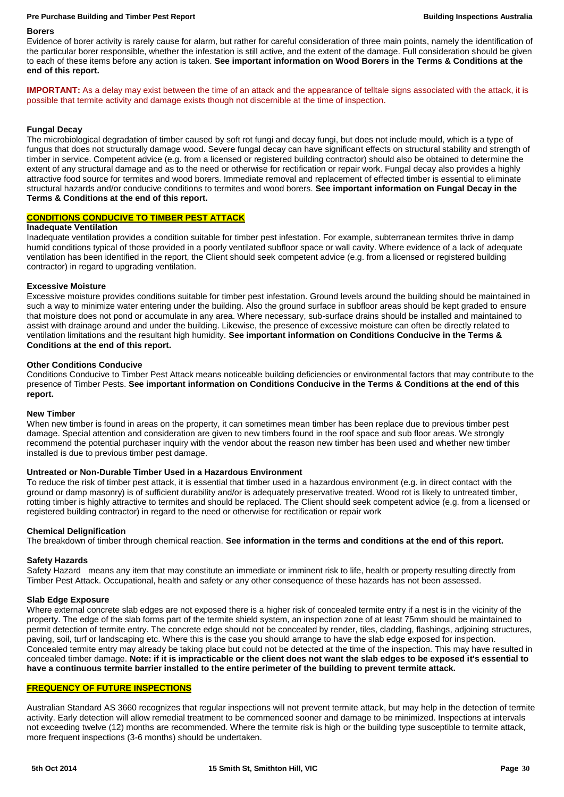#### **Pre Purchase Building and Timber Pest Report Building Inspections Australia**

#### **Borers**

Evidence of borer activity is rarely cause for alarm, but rather for careful consideration of three main points, namely the identification of the particular borer responsible, whether the infestation is still active, and the extent of the damage. Full consideration should be given to each of these items before any action is taken. **See important information on Wood Borers in the Terms & Conditions at the end of this report.**

**IMPORTANT:** As a delay may exist between the time of an attack and the appearance of telltale signs associated with the attack, it is possible that termite activity and damage exists though not discernible at the time of inspection.

## **Fungal Decay**

The microbiological degradation of timber caused by soft rot fungi and decay fungi, but does not include mould, which is a type of fungus that does not structurally damage wood. Severe fungal decay can have significant effects on structural stability and strength of timber in service. Competent advice (e.g. from a licensed or registered building contractor) should also be obtained to determine the extent of any structural damage and as to the need or otherwise for rectification or repair work. Fungal decay also provides a highly attractive food source for termites and wood borers. Immediate removal and replacement of effected timber is essential to eliminate structural hazards and/or conducive conditions to termites and wood borers. **See important information on Fungal Decay in the Terms & Conditions at the end of this report.**

## **CONDITIONS CONDUCIVE TO TIMBER PEST ATTACK**

## **Inadequate Ventilation**

Inadequate ventilation provides a condition suitable for timber pest infestation. For example, subterranean termites thrive in damp humid conditions typical of those provided in a poorly ventilated subfloor space or wall cavity. Where evidence of a lack of adequate ventilation has been identified in the report, the Client should seek competent advice (e.g. from a licensed or registered building contractor) in regard to upgrading ventilation.

## **Excessive Moisture**

Excessive moisture provides conditions suitable for timber pest infestation. Ground levels around the building should be maintained in such a way to minimize water entering under the building. Also the ground surface in subfloor areas should be kept graded to ensure that moisture does not pond or accumulate in any area. Where necessary, sub-surface drains should be installed and maintained to assist with drainage around and under the building. Likewise, the presence of excessive moisture can often be directly related to ventilation limitations and the resultant high humidity. **See important information on Conditions Conducive in the Terms & Conditions at the end of this report.**

#### **Other Conditions Conducive**

Conditions Conducive to Timber Pest Attack means noticeable building deficiencies or environmental factors that may contribute to the presence of Timber Pests. **See important information on Conditions Conducive in the Terms & Conditions at the end of this report.**

## **New Timber**

When new timber is found in areas on the property, it can sometimes mean timber has been replace due to previous timber pest damage. Special attention and consideration are given to new timbers found in the roof space and sub floor areas. We strongly recommend the potential purchaser inquiry with the vendor about the reason new timber has been used and whether new timber installed is due to previous timber pest damage.

## **Untreated or Non-Durable Timber Used in a Hazardous Environment**

To reduce the risk of timber pest attack, it is essential that timber used in a hazardous environment (e.g. in direct contact with the ground or damp masonry) is of sufficient durability and/or is adequately preservative treated. Wood rot is likely to untreated timber, rotting timber is highly attractive to termites and should be replaced. The Client should seek competent advice (e.g. from a licensed or registered building contractor) in regard to the need or otherwise for rectification or repair work

#### **Chemical Delignification**

The breakdown of timber through chemical reaction. **See information in the terms and conditions at the end of this report.**

#### **Safety Hazards**

Safety Hazard means any item that may constitute an immediate or imminent risk to life, health or property resulting directly from Timber Pest Attack. Occupational, health and safety or any other consequence of these hazards has not been assessed.

## **Slab Edge Exposure**

Where external concrete slab edges are not exposed there is a higher risk of concealed termite entry if a nest is in the vicinity of the property. The edge of the slab forms part of the termite shield system, an inspection zone of at least 75mm should be maintained to permit detection of termite entry. The concrete edge should not be concealed by render, tiles, cladding, flashings, adjoining structures, paving, soil, turf or landscaping etc. Where this is the case you should arrange to have the slab edge exposed for inspection. Concealed termite entry may already be taking place but could not be detected at the time of the inspection. This may have resulted in concealed timber damage. **Note: if it is impracticable or the client does not want the slab edges to be exposed it's essential to have a continuous termite barrier installed to the entire perimeter of the building to prevent termite attack.**

## **FREQUENCY OF FUTURE INSPECTIONS**

Australian Standard AS 3660 recognizes that regular inspections will not prevent termite attack, but may help in the detection of termite activity. Early detection will allow remedial treatment to be commenced sooner and damage to be minimized. Inspections at intervals not exceeding twelve (12) months are recommended. Where the termite risk is high or the building type susceptible to termite attack, more frequent inspections (3-6 months) should be undertaken.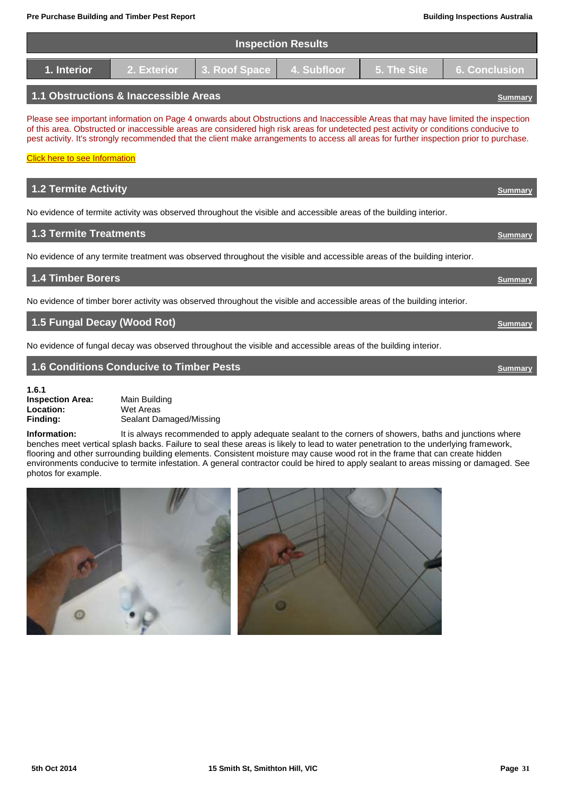| <b>Inspection Results</b>                                                                   |  |  |  |  |  |  |
|---------------------------------------------------------------------------------------------|--|--|--|--|--|--|
| 2. Exterior 3. Roof Space 4. Subfloor<br><b>1.</b> 5. The Site 6. Conclusion<br>1. Interior |  |  |  |  |  |  |
| 1.1 Obstructions & Inaccessible Areas                                                       |  |  |  |  |  |  |

Please see important information on Page 4 onwards about Obstructions and Inaccessible Areas that may have limited the inspection of this area. Obstructed or inaccessible areas are considered high risk areas for undetected pest activity or conditions conducive to pest activity. It's strongly recommended that the client make arrangements to access all areas for further inspection prior to purchase.

**[Click here to see Information](#page-3-0)** 

# **1.2 Termite Activity** *[Summary](#page-27-0)* No evidence of termite activity was observed throughout the visible and accessible areas of the building interior. **1.3 Termite Treatments** *[Summary](#page-27-0)* No evidence of any termite treatment was observed throughout the visible and accessible areas of the building interior. **1.4 Timber Borers [Summary](#page-27-0)** No evidence of timber borer activity was observed throughout the visible and accessible areas of the building interior. **1.5 Fungal Decay (Wood Rot)** *[Summary](#page-27-0) Summary*

No evidence of fungal decay was observed throughout the visible and accessible areas of the building interior.

## **1.6 Conditions Conducive to Timber Pests CONDITIONS** *[Summary](#page-27-0)*

**1.6.1 Inspection Area:** Main Building<br> **Location:** Wet Areas **Location:** Wet Areas<br> **Finding:** Sealant Da

<span id="page-30-0"></span>**Finding:** Sealant Damaged/Missing

**Information:** It is always recommended to apply adequate sealant to the corners of showers, baths and junctions where benches meet vertical splash backs. Failure to seal these areas is likely to lead to water penetration to the underlying framework, flooring and other surrounding building elements. Consistent moisture may cause wood rot in the frame that can create hidden environments conducive to termite infestation. A general contractor could be hired to apply sealant to areas missing or damaged. See photos for example.

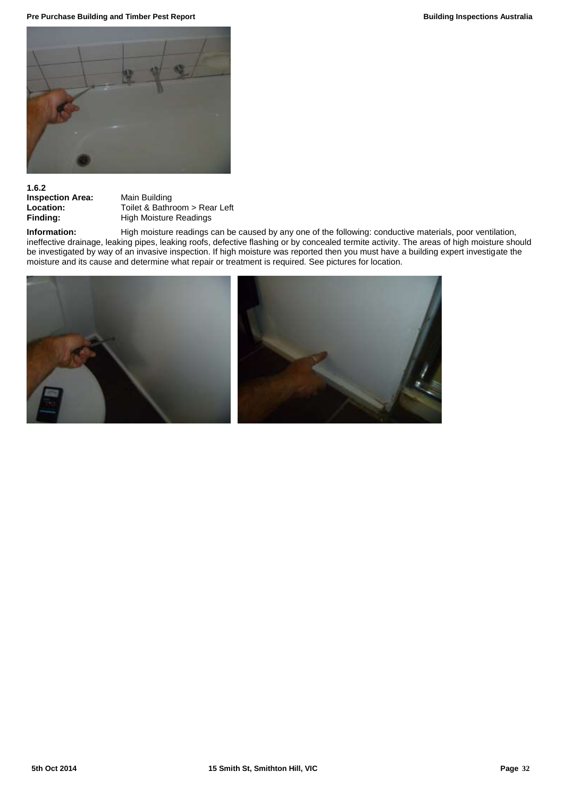**Pre Purchase Building and Timber Pest Report Building Inspections Australia Building Inspections Australia** 



## **1.6.2**

**Inspection Area:** Main Building<br> **Location:** Toilet & Bathr

**Location:** Toilet & Bathroom > Rear Left<br> **Finding:** High Moisture Readings **High Moisture Readings** 

**Information:** High moisture readings can be caused by any one of the following: conductive materials, poor ventilation, ineffective drainage, leaking pipes, leaking roofs, defective flashing or by concealed termite activity. The areas of high moisture should be investigated by way of an invasive inspection. If high moisture was reported then you must have a building expert investigate the moisture and its cause and determine what repair or treatment is required. See pictures for location.

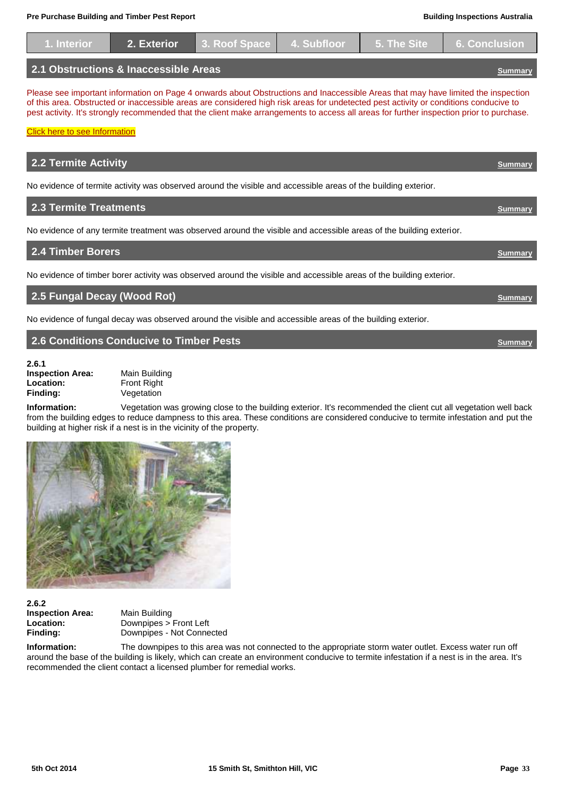| 1. Interior                                                                                                                                                                                                                                                                                                                                                                                                                                                    | 2. Exterior | 3. Roof Space | 4. Subfloor | 5. The Site | <b>6. Conclusion</b> |  |  |
|----------------------------------------------------------------------------------------------------------------------------------------------------------------------------------------------------------------------------------------------------------------------------------------------------------------------------------------------------------------------------------------------------------------------------------------------------------------|-------------|---------------|-------------|-------------|----------------------|--|--|
| 2.1 Obstructions & Inaccessible Areas<br><b>Summary</b>                                                                                                                                                                                                                                                                                                                                                                                                        |             |               |             |             |                      |  |  |
| Please see important information on Page 4 onwards about Obstructions and Inaccessible Areas that may have limited the inspection<br>of this area. Obstructed or inaccessible areas are considered high risk areas for undetected pest activity or conditions conducive to<br>pest activity. It's strongly recommended that the client make arrangements to access all areas for further inspection prior to purchase.<br><b>Click here to see Information</b> |             |               |             |             |                      |  |  |
| <b>2.2 Termite Activity</b>                                                                                                                                                                                                                                                                                                                                                                                                                                    |             |               |             |             | <b>Summary</b>       |  |  |
| No evidence of termite activity was observed around the visible and accessible areas of the building exterior.                                                                                                                                                                                                                                                                                                                                                 |             |               |             |             |                      |  |  |

**2.3 Termite Treatments** *[Summary](#page-27-0)* 

No evidence of any termite treatment was observed around the visible and accessible areas of the building exterior.

| <b>2.4 Timber Borers</b>                                                                                            |  |
|---------------------------------------------------------------------------------------------------------------------|--|
| No evidence of timber borer activity was observed around the visible and accessible areas of the building exterior. |  |
|                                                                                                                     |  |

**2.5 Fungal Decay (Wood Rot) [Summary](#page-27-0)**

No evidence of fungal decay was observed around the visible and accessible areas of the building exterior.

## **2.6 Conditions Conducive to Timber Pests CONDITIONS** *[Summary](#page-27-0)*

**2.6.1 Inspection Area:** Main Building<br> **Location:** Front Right **Location:** Front Right<br> **Finding:** Vegetation

<span id="page-32-0"></span>**Finding:** Vegetation

**Information:** Vegetation was growing close to the building exterior. It's recommended the client cut all vegetation well back from the building edges to reduce dampness to this area. These conditions are considered conducive to termite infestation and put the building at higher risk if a nest is in the vicinity of the property.



**2.6.2 Inspection Area:** Main Building

**Location:** Downpipes > Front Left **Finding:** Downpipes - Not Connected

**Information:** The downpipes to this area was not connected to the appropriate storm water outlet. Excess water run off around the base of the building is likely, which can create an environment conducive to termite infestation if a nest is in the area. It's recommended the client contact a licensed plumber for remedial works.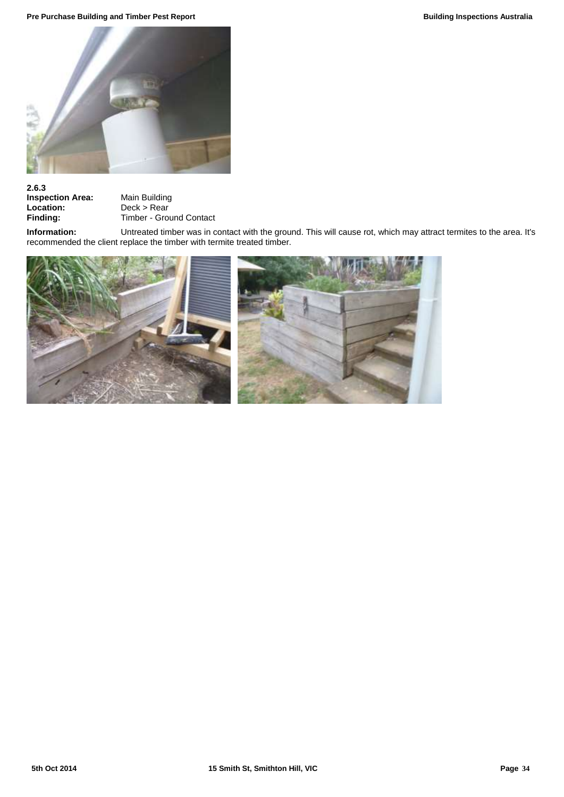**Pre Purchase Building and Timber Pest Report Building Inspections Australia Building Inspections Australia** 



# **2.6.3**

**Inspection Area:** Main Building<br> **Location:** Deck > Rear<br> **Finding:** Timber - Grou **Location:** Deck > Rear **Finding:** Timber - Ground Contact

**Information:** Untreated timber was in contact with the ground. This will cause rot, which may attract termites to the area. It's recommended the client replace the timber with termite treated timber.

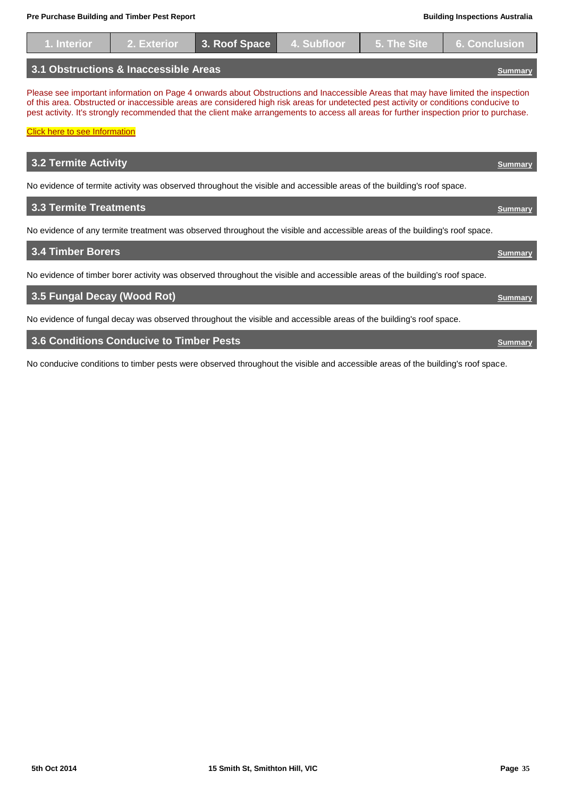No evidence of timber borer activity was observed throughout the visible and accessible areas of the building's roof space. **1988 Fungal Decay (Wood Rot)** *[Summary](#page-27-0) Summary Summary* **<b>***Summary Summary Summary* 

No evidence of fungal decay was observed throughout the visible and accessible areas of the building's roof space.

## **1.6 Conditions Conducive to Timber Pests <b>***[Summary](#page-27-0) Summary*

No conducive conditions to timber pests were observed throughout the visible and accessible areas of the building's roof space.

| 1. Interior                                                                                                                                                                   | 2. Exterior                           | 3. Roof Space | 4. Subfloor | 5. The Site | <b>6. Conclusion</b>                                                                                                                                                                                                                                                          |
|-------------------------------------------------------------------------------------------------------------------------------------------------------------------------------|---------------------------------------|---------------|-------------|-------------|-------------------------------------------------------------------------------------------------------------------------------------------------------------------------------------------------------------------------------------------------------------------------------|
|                                                                                                                                                                               | 3.1 Obstructions & Inaccessible Areas |               |             |             | <b>Summar</b>                                                                                                                                                                                                                                                                 |
| of this area. Obstructed or inaccessible areas are considered high risk areas for undetected pest activity or conditions conducive to<br><b>Click here to see Information</b> |                                       |               |             |             | Please see important information on Page 4 onwards about Obstructions and Inaccessible Areas that may have limited the inspection<br>pest activity. It's strongly recommended that the client make arrangements to access all areas for further inspection prior to purchase. |
| <b>3.2 Termite Activity</b>                                                                                                                                                   |                                       |               |             |             | <b>Summar</b>                                                                                                                                                                                                                                                                 |
| No evidence of termite activity was observed throughout the visible and accessible areas of the building's roof space.                                                        |                                       |               |             |             |                                                                                                                                                                                                                                                                               |
| <b>3.3 Termite Treatments</b>                                                                                                                                                 |                                       |               |             |             | <b>Summar</b>                                                                                                                                                                                                                                                                 |
| No evidence of any termite treatment was observed throughout the visible and accessible areas of the building's roof space.                                                   |                                       |               |             |             |                                                                                                                                                                                                                                                                               |
| 3.4 Timber Borers                                                                                                                                                             |                                       |               |             |             | <b>Summary</b>                                                                                                                                                                                                                                                                |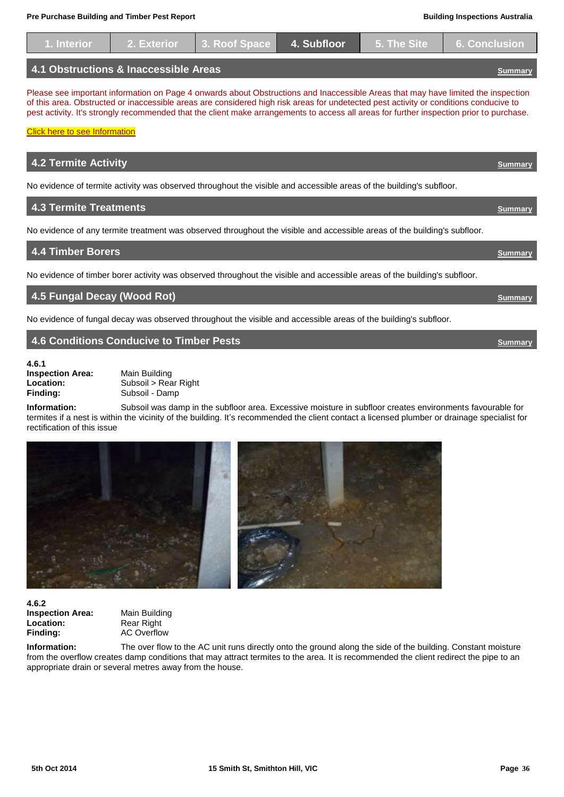| 1. Interior                                                                                                                                                                                                                                                                                                                                                                                                                                                    | 2. Exterior                           | 3. Roof Space | 4. Subfloor | 5. The Site | <b>6. Conclusion</b> |  |
|----------------------------------------------------------------------------------------------------------------------------------------------------------------------------------------------------------------------------------------------------------------------------------------------------------------------------------------------------------------------------------------------------------------------------------------------------------------|---------------------------------------|---------------|-------------|-------------|----------------------|--|
|                                                                                                                                                                                                                                                                                                                                                                                                                                                                | 4.1 Obstructions & Inaccessible Areas |               |             |             | Summary              |  |
| Please see important information on Page 4 onwards about Obstructions and Inaccessible Areas that may have limited the inspection<br>of this area. Obstructed or inaccessible areas are considered high risk areas for undetected pest activity or conditions conducive to<br>pest activity. It's strongly recommended that the client make arrangements to access all areas for further inspection prior to purchase.<br><b>Click here to see Information</b> |                                       |               |             |             |                      |  |
| <b>4.2 Termite Activity</b>                                                                                                                                                                                                                                                                                                                                                                                                                                    |                                       |               |             |             |                      |  |
| No evidence of termite activity was observed throughout the visible and accessible areas of the building's subfloor.                                                                                                                                                                                                                                                                                                                                           |                                       |               |             |             |                      |  |
| <b>4.3 Termite Treatments</b>                                                                                                                                                                                                                                                                                                                                                                                                                                  |                                       |               |             |             | Summary              |  |
| No evidence of any termite treatment was observed throughout the visible and accessible areas of the building's subfloor.                                                                                                                                                                                                                                                                                                                                      |                                       |               |             |             |                      |  |
| <b>4.4 Timber Borers</b>                                                                                                                                                                                                                                                                                                                                                                                                                                       |                                       |               |             |             | Summarv              |  |

No evidence of timber borer activity was observed throughout the visible and accessible areas of the building's subfloor.

**4.5 Fungal Decay (Wood Rot)** *[Summary](#page-27-0) Summary Summary* 

No evidence of fungal decay was observed throughout the visible and accessible areas of the building's subfloor.

## <span id="page-35-0"></span>**4.6 Conditions Conducive to Timber Pests CONDITIONS ASSESSMENT CONDITIONS INCORPORATION**

**4.6.1 Inspection Area:** Main Building<br> **Location:** Subsoil > Rea

**Location:** Subsoil > Rear Right<br> **Finding:** Subsoil - Damp Subsoil - Damp

**Information:** Subsoil was damp in the subfloor area. Excessive moisture in subfloor creates environments favourable for termites if a nest is within the vicinity of the building. It's recommended the client contact a licensed plumber or drainage specialist for rectification of this issue



**4.6.2 Inspection Area:** Main Building<br> **Location:** Rear Right **Location:** Rear Right<br> **Finding:** AC Overflo

**Finding:** AC Overflow

**Information:** The over flow to the AC unit runs directly onto the ground along the side of the building. Constant moisture from the overflow creates damp conditions that may attract termites to the area. It is recommended the client redirect the pipe to an appropriate drain or several metres away from the house.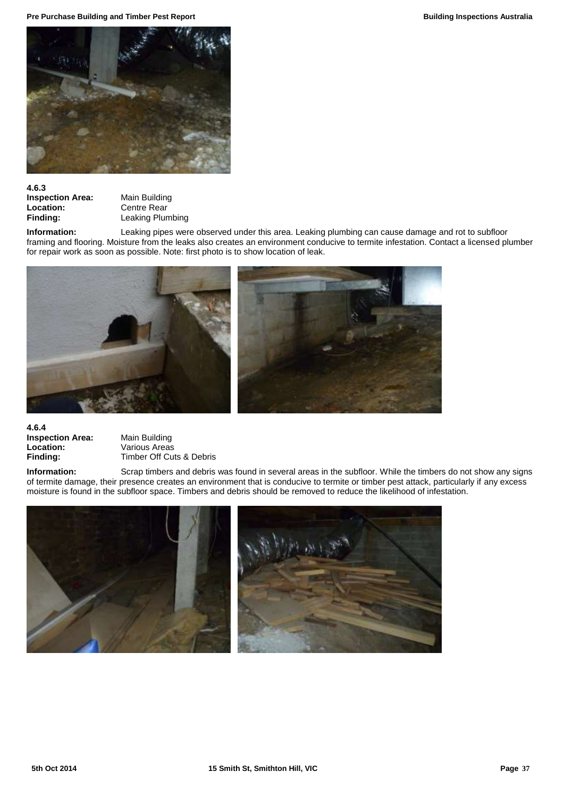**Pre Purchase Building and Timber Pest Report Building Inspections Australia Building Inspections Australia** 



## **4.6.3**

**Inspection Area:** Main Building<br> **Location:** Centre Rear **Location:** Centre Rear<br> **Finding:** Leaking Plun

**Leaking Plumbing** 

**Information:** Leaking pipes were observed under this area. Leaking plumbing can cause damage and rot to subfloor framing and flooring. Moisture from the leaks also creates an environment conducive to termite infestation. Contact a licensed plumber for repair work as soon as possible. Note: first photo is to show location of leak.



## **4.6.4 Inspection Area:** Main Building<br> **Location:** Various Areas **Location:** Various Areas<br> **Finding:** Timber Off Cu

**Finding:** Timber Off Cuts & Debris

**Information:** Scrap timbers and debris was found in several areas in the subfloor. While the timbers do not show any signs of termite damage, their presence creates an environment that is conducive to termite or timber pest attack, particularly if any excess moisture is found in the subfloor space. Timbers and debris should be removed to reduce the likelihood of infestation.

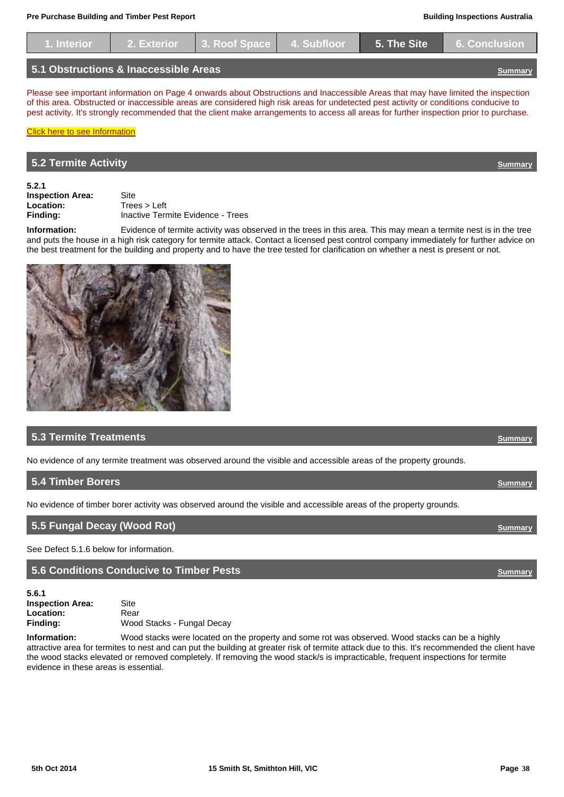| 1. Interior                           | 2. Exterior 3. Roof Space 4. Subfloor |  |  | <b>1</b> 5. The Site 6. Conclusion |
|---------------------------------------|---------------------------------------|--|--|------------------------------------|
| 5.1 Obstructions & Inaccessible Areas |                                       |  |  |                                    |

Please see important information on Page 4 onwards about Obstructions and Inaccessible Areas that may have limited the inspection of this area. Obstructed or inaccessible areas are considered high risk areas for undetected pest activity or conditions conducive to pest activity. It's strongly recommended that the client make arrangements to access all areas for further inspection prior to purchase.

## <span id="page-37-0"></span>**5.2 Termite Activity** *[Summary](#page-27-0)*

[Click here to see Information](#page-4-1)

**5.2.1**

**Inspection Area:** Site<br> **Location:** Trees > Left Location:

**Finding:** Inactive Termite Evidence - Trees

**Information:** Evidence of termite activity was observed in the trees in this area. This may mean a termite nest is in the tree and puts the house in a high risk category for termite attack. Contact a licensed pest control company immediately for further advice on the best treatment for the building and property and to have the tree tested for clarification on whether a nest is present or not.



## **5.3 Termite Treatments** *[Summary](#page-27-0)*

No evidence of any termite treatment was observed around the visible and accessible areas of the property grounds.

## **5.4 Timber Borers** *[Summary](#page-27-0)* No evidence of timber borer activity was observed around the visible and accessible areas of the property grounds.

| 5.5 Fungal Decay (Wood Rot) | Summary |
|-----------------------------|---------|
|                             |         |

See Defect 5.1.6 below for information.

<span id="page-37-1"></span>**5.6 Conditions Conducive to Timber Pests [Summary](#page-27-0)**

**5.6.1 Inspection Area:** Site Location: Rear **Finding:** Wood Stacks - Fungal Decay

**Information:** Wood stacks were located on the property and some rot was observed. Wood stacks can be a highly attractive area for termites to nest and can put the building at greater risk of termite attack due to this. It's recommended the client have the wood stacks elevated or removed completely. If removing the wood stack/s is impracticable, frequent inspections for termite evidence in these areas is essential.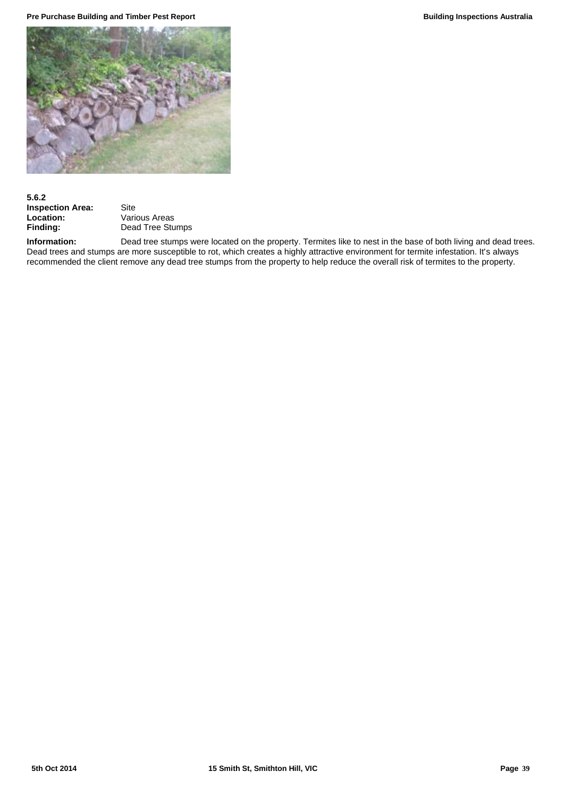**Pre Purchase Building and Timber Pest Report Building Inspections Australia Building Inspections Australia** 



## **5.6.2 Inspection Area:** Site<br> **Location:** Varie

**Location:** Various Areas<br> **Finding:** Dead Tree Stu **Finding:** Dead Tree Stumps

**Information:** Dead tree stumps were located on the property. Termites like to nest in the base of both living and dead trees. Dead trees and stumps are more susceptible to rot, which creates a highly attractive environment for termite infestation. It's always recommended the client remove any dead tree stumps from the property to help reduce the overall risk of termites to the property.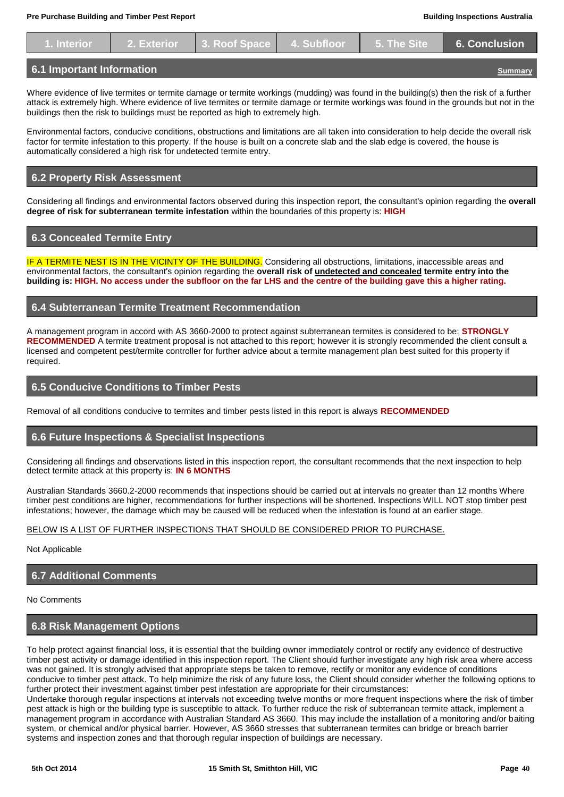|  |  | 1. Interior   2. Exterior 3. Roof Space   4. Subfloor   5. The Site   6. Conclusion |
|--|--|-------------------------------------------------------------------------------------|
|  |  |                                                                                     |
|  |  |                                                                                     |

## <span id="page-39-0"></span>**6.1 Important Information [Summary](#page-27-0)**

Where evidence of live termites or termite damage or termite workings (mudding) was found in the building(s) then the risk of a further attack is extremely high. Where evidence of live termites or termite damage or termite workings was found in the grounds but not in the buildings then the risk to buildings must be reported as high to extremely high.

Environmental factors, conducive conditions, obstructions and limitations are all taken into consideration to help decide the overall risk factor for termite infestation to this property. If the house is built on a concrete slab and the slab edge is covered, the house is automatically considered a high risk for undetected termite entry.

## **6.2 Property Risk Assessment**

Considering all findings and environmental factors observed during this inspection report, the consultant's opinion regarding the **overall degree of risk for subterranean termite infestation** within the boundaries of this property is: **HIGH** 

## **6.3 Concealed Termite Entry**

IF A TERMITE NEST IS IN THE VICINTY OF THE BUILDING. Considering all obstructions, limitations, inaccessible areas and environmental factors, the consultant's opinion regarding the **overall risk of undetected and concealed termite entry into the building is: HIGH. No access under the subfloor on the far LHS and the centre of the building gave this a higher rating.**

## **6.4 Subterranean Termite Treatment Recommendation**

A management program in accord with AS 3660-2000 to protect against subterranean termites is considered to be: **STRONGLY RECOMMENDED** A termite treatment proposal is not attached to this report; however it is strongly recommended the client consult a licensed and competent pest/termite controller for further advice about a termite management plan best suited for this property if required.

## **6.5 Conducive Conditions to Timber Pests**

Removal of all conditions conducive to termites and timber pests listed in this report is always **RECOMMENDED**

## **6.6 Future Inspections & Specialist Inspections**

Considering all findings and observations listed in this inspection report, the consultant recommends that the next inspection to help detect termite attack at this property is: **IN 6 MONTHS**

Australian Standards 3660.2-2000 recommends that inspections should be carried out at intervals no greater than 12 months Where timber pest conditions are higher, recommendations for further inspections will be shortened. Inspections WILL NOT stop timber pest infestations; however, the damage which may be caused will be reduced when the infestation is found at an earlier stage.

## BELOW IS A LIST OF FURTHER INSPECTIONS THAT SHOULD BE CONSIDERED PRIOR TO PURCHASE.

Not Applicable

## **6.7 Additional Comments**

No Comments

## **6.8 Risk Management Options**

To help protect against financial loss, it is essential that the building owner immediately control or rectify any evidence of destructive timber pest activity or damage identified in this inspection report. The Client should further investigate any high risk area where access was not gained. It is strongly advised that appropriate steps be taken to remove, rectify or monitor any evidence of conditions conducive to timber pest attack. To help minimize the risk of any future loss, the Client should consider whether the following options to further protect their investment against timber pest infestation are appropriate for their circumstances:

Undertake thorough regular inspections at intervals not exceeding twelve months or more frequent inspections where the risk of timber pest attack is high or the building type is susceptible to attack. To further reduce the risk of subterranean termite attack, implement a management program in accordance with Australian Standard AS 3660. This may include the installation of a monitoring and/or baiting system, or chemical and/or physical barrier. However, AS 3660 stresses that subterranean termites can bridge or breach barrier systems and inspection zones and that thorough regular inspection of buildings are necessary.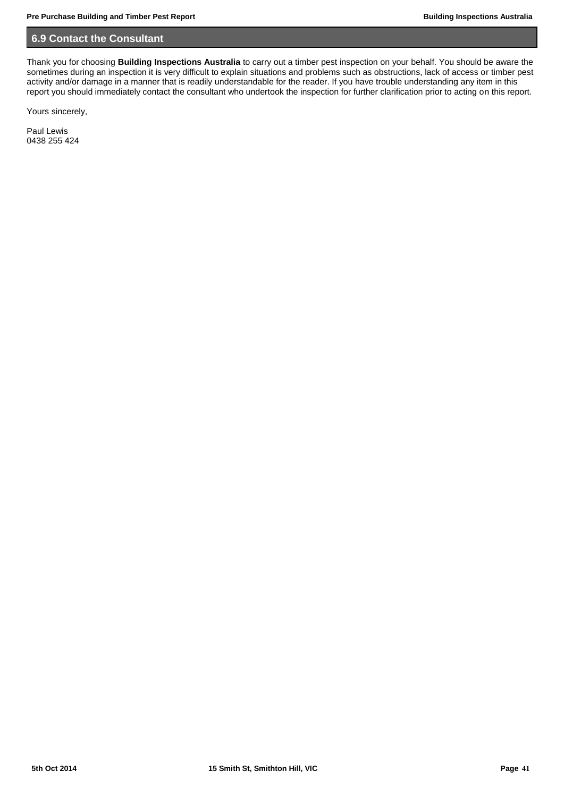## **6.9 Contact the Consultant**

Thank you for choosing **Building Inspections Australia** to carry out a timber pest inspection on your behalf. You should be aware the sometimes during an inspection it is very difficult to explain situations and problems such as obstructions, lack of access or timber pest activity and/or damage in a manner that is readily understandable for the reader. If you have trouble understanding any item in this report you should immediately contact the consultant who undertook the inspection for further clarification prior to acting on this report.

Yours sincerely,

Paul Lewis 0438 255 424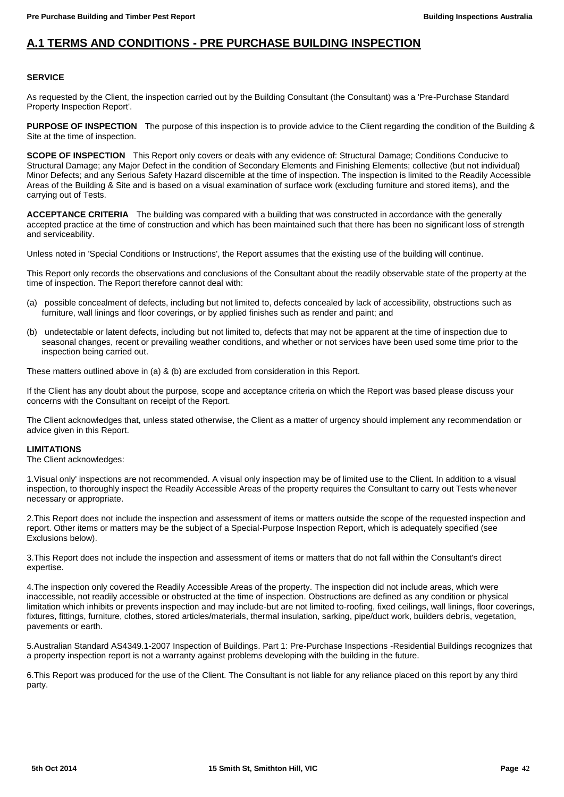## **A.1 TERMS AND CONDITIONS - PRE PURCHASE BUILDING INSPECTION**

## **SERVICE**

As requested by the Client, the inspection carried out by the Building Consultant (the Consultant) was a 'Pre-Purchase Standard Property Inspection Report'.

**PURPOSE OF INSPECTION** The purpose of this inspection is to provide advice to the Client regarding the condition of the Building & Site at the time of inspection.

**SCOPE OF INSPECTION** This Report only covers or deals with any evidence of: Structural Damage; Conditions Conducive to Structural Damage; any Major Defect in the condition of Secondary Elements and Finishing Elements; collective (but not individual) Minor Defects; and any Serious Safety Hazard discernible at the time of inspection. The inspection is limited to the Readily Accessible Areas of the Building & Site and is based on a visual examination of surface work (excluding furniture and stored items), and the carrying out of Tests.

**ACCEPTANCE CRITERIA** The building was compared with a building that was constructed in accordance with the generally accepted practice at the time of construction and which has been maintained such that there has been no significant loss of strength and serviceability.

Unless noted in 'Special Conditions or Instructions', the Report assumes that the existing use of the building will continue.

This Report only records the observations and conclusions of the Consultant about the readily observable state of the property at the time of inspection. The Report therefore cannot deal with:

- (a) possible concealment of defects, including but not limited to, defects concealed by lack of accessibility, obstructions such as furniture, wall linings and floor coverings, or by applied finishes such as render and paint; and
- (b) undetectable or latent defects, including but not limited to, defects that may not be apparent at the time of inspection due to seasonal changes, recent or prevailing weather conditions, and whether or not services have been used some time prior to the inspection being carried out.

These matters outlined above in (a) & (b) are excluded from consideration in this Report.

If the Client has any doubt about the purpose, scope and acceptance criteria on which the Report was based please discuss your concerns with the Consultant on receipt of the Report.

The Client acknowledges that, unless stated otherwise, the Client as a matter of urgency should implement any recommendation or advice given in this Report.

## **LIMITATIONS**

The Client acknowledges:

1.Visual only' inspections are not recommended. A visual only inspection may be of limited use to the Client. In addition to a visual inspection, to thoroughly inspect the Readily Accessible Areas of the property requires the Consultant to carry out Tests whenever necessary or appropriate.

2.This Report does not include the inspection and assessment of items or matters outside the scope of the requested inspection and report. Other items or matters may be the subject of a Special-Purpose Inspection Report, which is adequately specified (see Exclusions below).

3.This Report does not include the inspection and assessment of items or matters that do not fall within the Consultant's direct expertise.

4.The inspection only covered the Readily Accessible Areas of the property. The inspection did not include areas, which were inaccessible, not readily accessible or obstructed at the time of inspection. Obstructions are defined as any condition or physical limitation which inhibits or prevents inspection and may include-but are not limited to-roofing, fixed ceilings, wall linings, floor coverings, fixtures, fittings, furniture, clothes, stored articles/materials, thermal insulation, sarking, pipe/duct work, builders debris, vegetation, pavements or earth.

5.Australian Standard AS4349.1-2007 Inspection of Buildings. Part 1: Pre-Purchase Inspections -Residential Buildings recognizes that a property inspection report is not a warranty against problems developing with the building in the future.

6.This Report was produced for the use of the Client. The Consultant is not liable for any reliance placed on this report by any third party.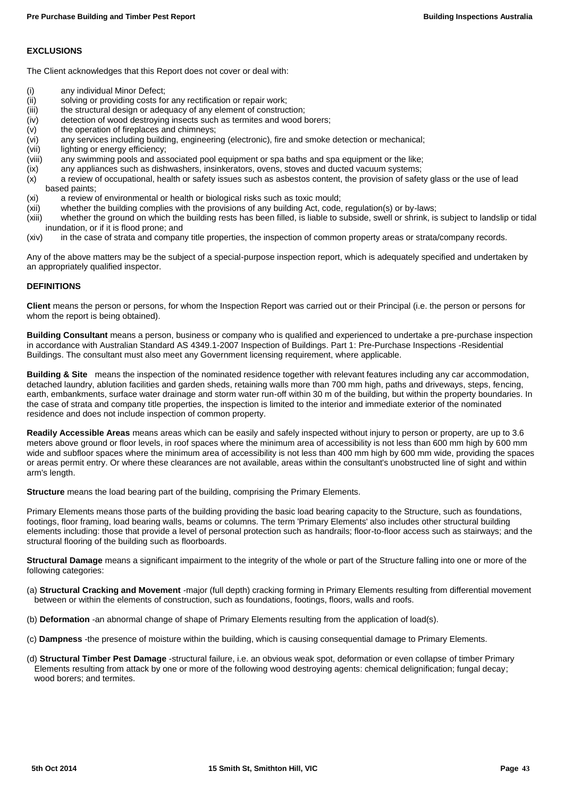## **EXCLUSIONS**

The Client acknowledges that this Report does not cover or deal with:

- (i) any individual Minor Defect;<br>(ii) solving or providing costs fo
- (ii) solving or providing costs for any rectification or repair work;<br>(iii) the structural design or adeguacy of any element of construc
- (iii) the structural design or adequacy of any element of construction;<br>(iv) detection of wood destroying insects such as termites and wood b
- (iv) detection of wood destroying insects such as termites and wood borers;<br>(v) the operation of fireplaces and chimneys;
- the operation of fireplaces and chimneys;
- (vi) any services including building, engineering (electronic), fire and smoke detection or mechanical;
- (vii) lighting or energy efficiency;<br>(viii) any swimming pools and ass
- any swimming pools and associated pool equipment or spa baths and spa equipment or the like;
- (ix) any appliances such as dishwashers, insinkerators, ovens, stoves and ducted vacuum systems;
- (x) a review of occupational, health or safety issues such as asbestos content, the provision of safety glass or the use of lead based paints;
- (xi) a review of environmental or health or biological risks such as toxic mould;
- (xii) whether the building complies with the provisions of any building Act, code, regulation(s) or by-laws;
- (xiii) whether the ground on which the building rests has been filled, is liable to subside, swell or shrink, is subject to landslip or tidal inundation, or if it is flood prone; and
- (xiv) in the case of strata and company title properties, the inspection of common property areas or strata/company records.

Any of the above matters may be the subject of a special-purpose inspection report, which is adequately specified and undertaken by an appropriately qualified inspector.

## **DEFINITIONS**

**Client** means the person or persons, for whom the Inspection Report was carried out or their Principal (i.e. the person or persons for whom the report is being obtained).

**Building Consultant** means a person, business or company who is qualified and experienced to undertake a pre-purchase inspection in accordance with Australian Standard AS 4349.1-2007 Inspection of Buildings. Part 1: Pre-Purchase Inspections -Residential Buildings. The consultant must also meet any Government licensing requirement, where applicable.

**Building & Site** means the inspection of the nominated residence together with relevant features including any car accommodation, detached laundry, ablution facilities and garden sheds, retaining walls more than 700 mm high, paths and driveways, steps, fencing, earth, embankments, surface water drainage and storm water run-off within 30 m of the building, but within the property boundaries. In the case of strata and company title properties, the inspection is limited to the interior and immediate exterior of the nominated residence and does not include inspection of common property.

**Readily Accessible Areas** means areas which can be easily and safely inspected without injury to person or property, are up to 3.6 meters above ground or floor levels, in roof spaces where the minimum area of accessibility is not less than 600 mm high by 600 mm wide and subfloor spaces where the minimum area of accessibility is not less than 400 mm high by 600 mm wide, providing the spaces or areas permit entry. Or where these clearances are not available, areas within the consultant's unobstructed line of sight and within arm's length.

**Structure** means the load bearing part of the building, comprising the Primary Elements.

Primary Elements means those parts of the building providing the basic load bearing capacity to the Structure, such as foundations, footings, floor framing, load bearing walls, beams or columns. The term 'Primary Elements' also includes other structural building elements including: those that provide a level of personal protection such as handrails; floor-to-floor access such as stairways; and the structural flooring of the building such as floorboards.

**Structural Damage** means a significant impairment to the integrity of the whole or part of the Structure falling into one or more of the following categories:

- (a) **Structural Cracking and Movement** -major (full depth) cracking forming in Primary Elements resulting from differential movement between or within the elements of construction, such as foundations, footings, floors, walls and roofs.
- (b) **Deformation** -an abnormal change of shape of Primary Elements resulting from the application of load(s).
- (c) **Dampness** -the presence of moisture within the building, which is causing consequential damage to Primary Elements.
- (d) **Structural Timber Pest Damage** -structural failure, i.e. an obvious weak spot, deformation or even collapse of timber Primary Elements resulting from attack by one or more of the following wood destroying agents: chemical delignification; fungal decay; wood borers; and termites.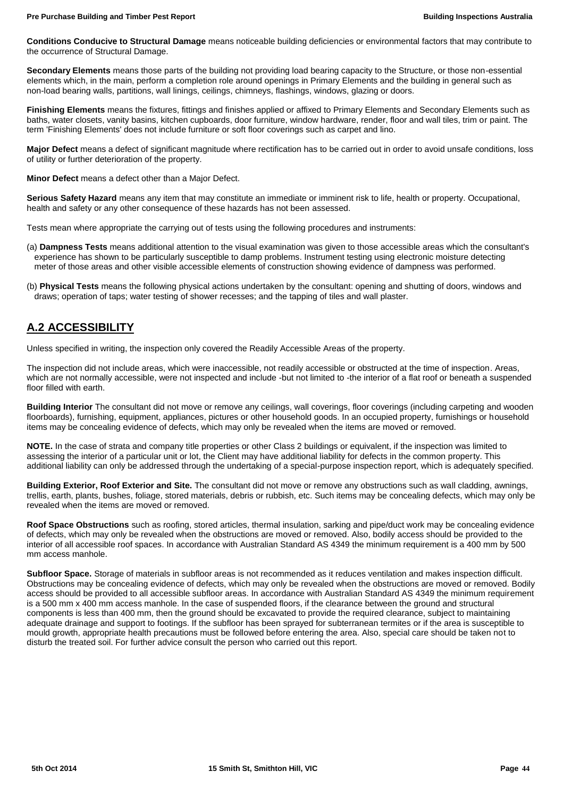**Conditions Conducive to Structural Damage** means noticeable building deficiencies or environmental factors that may contribute to the occurrence of Structural Damage.

**Secondary Elements** means those parts of the building not providing load bearing capacity to the Structure, or those non-essential elements which, in the main, perform a completion role around openings in Primary Elements and the building in general such as non-load bearing walls, partitions, wall linings, ceilings, chimneys, flashings, windows, glazing or doors.

**Finishing Elements** means the fixtures, fittings and finishes applied or affixed to Primary Elements and Secondary Elements such as baths, water closets, vanity basins, kitchen cupboards, door furniture, window hardware, render, floor and wall tiles, trim or paint. The term 'Finishing Elements' does not include furniture or soft floor coverings such as carpet and lino.

**Major Defect** means a defect of significant magnitude where rectification has to be carried out in order to avoid unsafe conditions, loss of utility or further deterioration of the property.

**Minor Defect** means a defect other than a Major Defect.

**Serious Safety Hazard** means any item that may constitute an immediate or imminent risk to life, health or property. Occupational, health and safety or any other consequence of these hazards has not been assessed.

Tests mean where appropriate the carrying out of tests using the following procedures and instruments:

- (a) **Dampness Tests** means additional attention to the visual examination was given to those accessible areas which the consultant's experience has shown to be particularly susceptible to damp problems. Instrument testing using electronic moisture detecting meter of those areas and other visible accessible elements of construction showing evidence of dampness was performed.
- (b) **Physical Tests** means the following physical actions undertaken by the consultant: opening and shutting of doors, windows and draws; operation of taps; water testing of shower recesses; and the tapping of tiles and wall plaster.

## **A.2 ACCESSIBILITY**

Unless specified in writing, the inspection only covered the Readily Accessible Areas of the property.

The inspection did not include areas, which were inaccessible, not readily accessible or obstructed at the time of inspection. Areas, which are not normally accessible, were not inspected and include -but not limited to -the interior of a flat roof or beneath a suspended floor filled with earth.

**Building Interior** The consultant did not move or remove any ceilings, wall coverings, floor coverings (including carpeting and wooden floorboards), furnishing, equipment, appliances, pictures or other household goods. In an occupied property, furnishings or household items may be concealing evidence of defects, which may only be revealed when the items are moved or removed.

**NOTE.** In the case of strata and company title properties or other Class 2 buildings or equivalent, if the inspection was limited to assessing the interior of a particular unit or lot, the Client may have additional liability for defects in the common property. This additional liability can only be addressed through the undertaking of a special-purpose inspection report, which is adequately specified.

**Building Exterior, Roof Exterior and Site.** The consultant did not move or remove any obstructions such as wall cladding, awnings, trellis, earth, plants, bushes, foliage, stored materials, debris or rubbish, etc. Such items may be concealing defects, which may only be revealed when the items are moved or removed.

**Roof Space Obstructions** such as roofing, stored articles, thermal insulation, sarking and pipe/duct work may be concealing evidence of defects, which may only be revealed when the obstructions are moved or removed. Also, bodily access should be provided to the interior of all accessible roof spaces. In accordance with Australian Standard AS 4349 the minimum requirement is a 400 mm by 500 mm access manhole.

**Subfloor Space.** Storage of materials in subfloor areas is not recommended as it reduces ventilation and makes inspection difficult. Obstructions may be concealing evidence of defects, which may only be revealed when the obstructions are moved or removed. Bodily access should be provided to all accessible subfloor areas. In accordance with Australian Standard AS 4349 the minimum requirement is a 500 mm x 400 mm access manhole. In the case of suspended floors, if the clearance between the ground and structural components is less than 400 mm, then the ground should be excavated to provide the required clearance, subject to maintaining adequate drainage and support to footings. If the subfloor has been sprayed for subterranean termites or if the area is susceptible to mould growth, appropriate health precautions must be followed before entering the area. Also, special care should be taken not to disturb the treated soil. For further advice consult the person who carried out this report.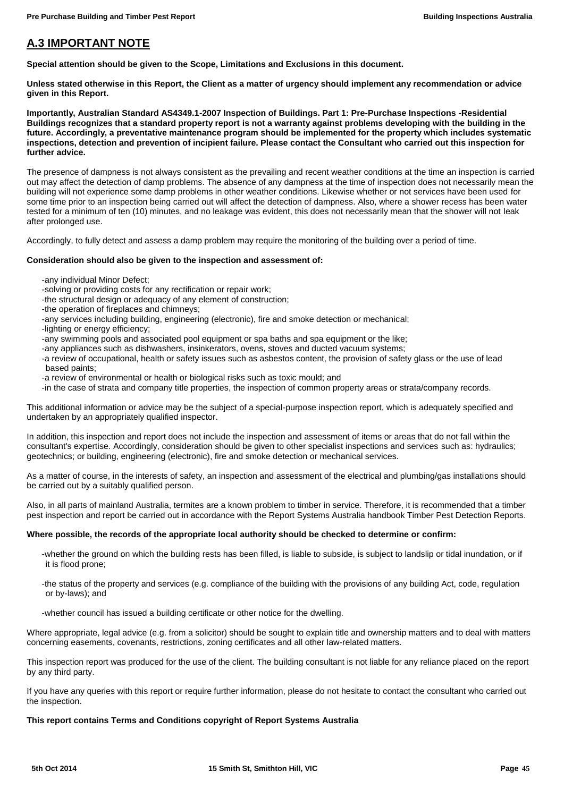## **A.3 IMPORTANT NOTE**

**Special attention should be given to the Scope, Limitations and Exclusions in this document.**

**Unless stated otherwise in this Report, the Client as a matter of urgency should implement any recommendation or advice given in this Report.**

**Importantly, Australian Standard AS4349.1-2007 Inspection of Buildings. Part 1: Pre-Purchase Inspections -Residential Buildings recognizes that a standard property report is not a warranty against problems developing with the building in the future. Accordingly, a preventative maintenance program should be implemented for the property which includes systematic inspections, detection and prevention of incipient failure. Please contact the Consultant who carried out this inspection for further advice.**

The presence of dampness is not always consistent as the prevailing and recent weather conditions at the time an inspection is carried out may affect the detection of damp problems. The absence of any dampness at the time of inspection does not necessarily mean the building will not experience some damp problems in other weather conditions. Likewise whether or not services have been used for some time prior to an inspection being carried out will affect the detection of dampness. Also, where a shower recess has been water tested for a minimum of ten (10) minutes, and no leakage was evident, this does not necessarily mean that the shower will not leak after prolonged use.

Accordingly, to fully detect and assess a damp problem may require the monitoring of the building over a period of time.

## **Consideration should also be given to the inspection and assessment of:**

- -any individual Minor Defect;
- -solving or providing costs for any rectification or repair work;
- -the structural design or adequacy of any element of construction;
- -the operation of fireplaces and chimneys;
- -any services including building, engineering (electronic), fire and smoke detection or mechanical;
- -lighting or energy efficiency;
- -any swimming pools and associated pool equipment or spa baths and spa equipment or the like;
- -any appliances such as dishwashers, insinkerators, ovens, stoves and ducted vacuum systems;
- -a review of occupational, health or safety issues such as asbestos content, the provision of safety glass or the use of lead based paints;
- -a review of environmental or health or biological risks such as toxic mould; and
- -in the case of strata and company title properties, the inspection of common property areas or strata/company records.

This additional information or advice may be the subject of a special-purpose inspection report, which is adequately specified and undertaken by an appropriately qualified inspector.

In addition, this inspection and report does not include the inspection and assessment of items or areas that do not fall within the consultant's expertise. Accordingly, consideration should be given to other specialist inspections and services such as: hydraulics; geotechnics; or building, engineering (electronic), fire and smoke detection or mechanical services.

As a matter of course, in the interests of safety, an inspection and assessment of the electrical and plumbing/gas installations should be carried out by a suitably qualified person.

Also, in all parts of mainland Australia, termites are a known problem to timber in service. Therefore, it is recommended that a timber pest inspection and report be carried out in accordance with the Report Systems Australia handbook Timber Pest Detection Reports.

## **Where possible, the records of the appropriate local authority should be checked to determine or confirm:**

- -whether the ground on which the building rests has been filled, is liable to subside, is subject to landslip or tidal inundation, or if it is flood prone;
- -the status of the property and services (e.g. compliance of the building with the provisions of any building Act, code, regulation or by-laws); and
- -whether council has issued a building certificate or other notice for the dwelling.

Where appropriate, legal advice (e.g. from a solicitor) should be sought to explain title and ownership matters and to deal with matters concerning easements, covenants, restrictions, zoning certificates and all other law-related matters.

This inspection report was produced for the use of the client. The building consultant is not liable for any reliance placed on the report by any third party.

If you have any queries with this report or require further information, please do not hesitate to contact the consultant who carried out the inspection.

## **This report contains Terms and Conditions copyright of Report Systems Australia**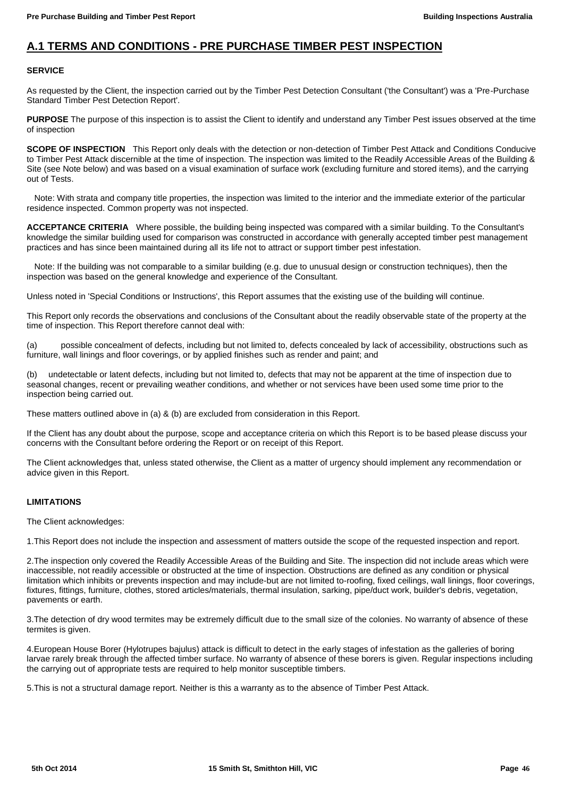## **A.1 TERMS AND CONDITIONS - PRE PURCHASE TIMBER PEST INSPECTION**

## **SERVICE**

As requested by the Client, the inspection carried out by the Timber Pest Detection Consultant ('the Consultant') was a 'Pre-Purchase Standard Timber Pest Detection Report'.

**PURPOSE** The purpose of this inspection is to assist the Client to identify and understand any Timber Pest issues observed at the time of inspection

**SCOPE OF INSPECTION** This Report only deals with the detection or non-detection of Timber Pest Attack and Conditions Conducive to Timber Pest Attack discernible at the time of inspection. The inspection was limited to the Readily Accessible Areas of the Building & Site (see Note below) and was based on a visual examination of surface work (excluding furniture and stored items), and the carrying out of Tests.

 Note: With strata and company title properties, the inspection was limited to the interior and the immediate exterior of the particular residence inspected. Common property was not inspected.

**ACCEPTANCE CRITERIA** Where possible, the building being inspected was compared with a similar building. To the Consultant's knowledge the similar building used for comparison was constructed in accordance with generally accepted timber pest management practices and has since been maintained during all its life not to attract or support timber pest infestation.

 Note: If the building was not comparable to a similar building (e.g. due to unusual design or construction techniques), then the inspection was based on the general knowledge and experience of the Consultant.

Unless noted in 'Special Conditions or Instructions', this Report assumes that the existing use of the building will continue.

This Report only records the observations and conclusions of the Consultant about the readily observable state of the property at the time of inspection. This Report therefore cannot deal with:

(a) possible concealment of defects, including but not limited to, defects concealed by lack of accessibility, obstructions such as furniture, wall linings and floor coverings, or by applied finishes such as render and paint; and

(b) undetectable or latent defects, including but not limited to, defects that may not be apparent at the time of inspection due to seasonal changes, recent or prevailing weather conditions, and whether or not services have been used some time prior to the inspection being carried out.

These matters outlined above in (a) & (b) are excluded from consideration in this Report.

If the Client has any doubt about the purpose, scope and acceptance criteria on which this Report is to be based please discuss your concerns with the Consultant before ordering the Report or on receipt of this Report.

The Client acknowledges that, unless stated otherwise, the Client as a matter of urgency should implement any recommendation or advice given in this Report.

## **LIMITATIONS**

The Client acknowledges:

1.This Report does not include the inspection and assessment of matters outside the scope of the requested inspection and report.

2.The inspection only covered the Readily Accessible Areas of the Building and Site. The inspection did not include areas which were inaccessible, not readily accessible or obstructed at the time of inspection. Obstructions are defined as any condition or physical limitation which inhibits or prevents inspection and may include-but are not limited to-roofing, fixed ceilings, wall linings, floor coverings, fixtures, fittings, furniture, clothes, stored articles/materials, thermal insulation, sarking, pipe/duct work, builder's debris, vegetation, pavements or earth.

3.The detection of dry wood termites may be extremely difficult due to the small size of the colonies. No warranty of absence of these termites is given.

4.European House Borer (Hylotrupes bajulus) attack is difficult to detect in the early stages of infestation as the galleries of boring larvae rarely break through the affected timber surface. No warranty of absence of these borers is given. Regular inspections including the carrying out of appropriate tests are required to help monitor susceptible timbers.

5.This is not a structural damage report. Neither is this a warranty as to the absence of Timber Pest Attack.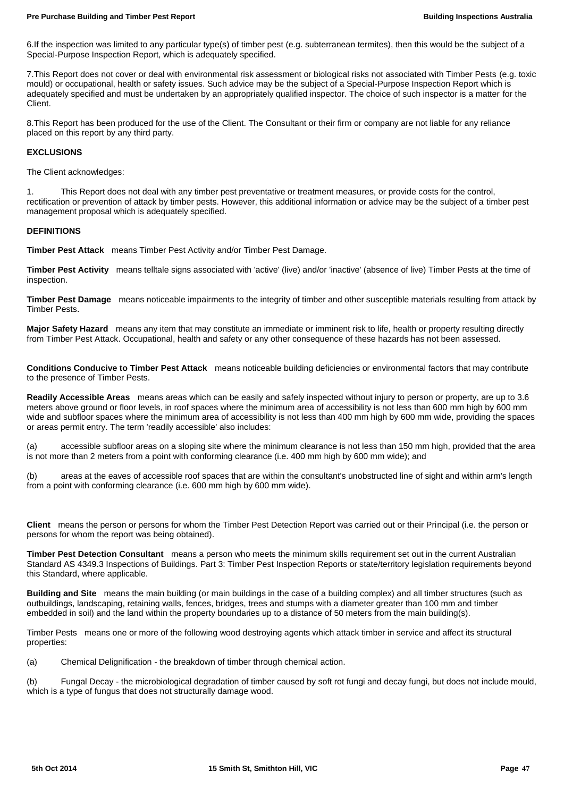6.If the inspection was limited to any particular type(s) of timber pest (e.g. subterranean termites), then this would be the subject of a Special-Purpose Inspection Report, which is adequately specified.

7.This Report does not cover or deal with environmental risk assessment or biological risks not associated with Timber Pests (e.g. toxic mould) or occupational, health or safety issues. Such advice may be the subject of a Special-Purpose Inspection Report which is adequately specified and must be undertaken by an appropriately qualified inspector. The choice of such inspector is a matter for the Client.

8.This Report has been produced for the use of the Client. The Consultant or their firm or company are not liable for any reliance placed on this report by any third party.

## **EXCLUSIONS**

The Client acknowledges:

1. This Report does not deal with any timber pest preventative or treatment measures, or provide costs for the control, rectification or prevention of attack by timber pests. However, this additional information or advice may be the subject of a timber pest management proposal which is adequately specified.

#### **DEFINITIONS**

**Timber Pest Attack** means Timber Pest Activity and/or Timber Pest Damage.

**Timber Pest Activity** means telltale signs associated with 'active' (live) and/or 'inactive' (absence of live) Timber Pests at the time of inspection.

**Timber Pest Damage** means noticeable impairments to the integrity of timber and other susceptible materials resulting from attack by Timber Pests.

**Major Safety Hazard** means any item that may constitute an immediate or imminent risk to life, health or property resulting directly from Timber Pest Attack. Occupational, health and safety or any other consequence of these hazards has not been assessed.

**Conditions Conducive to Timber Pest Attack** means noticeable building deficiencies or environmental factors that may contribute to the presence of Timber Pests.

**Readily Accessible Areas** means areas which can be easily and safely inspected without injury to person or property, are up to 3.6 meters above ground or floor levels, in roof spaces where the minimum area of accessibility is not less than 600 mm high by 600 mm wide and subfloor spaces where the minimum area of accessibility is not less than 400 mm high by 600 mm wide, providing the spaces or areas permit entry. The term 'readily accessible' also includes:

(a) accessible subfloor areas on a sloping site where the minimum clearance is not less than 150 mm high, provided that the area is not more than 2 meters from a point with conforming clearance (i.e. 400 mm high by 600 mm wide); and

(b) areas at the eaves of accessible roof spaces that are within the consultant's unobstructed line of sight and within arm's length from a point with conforming clearance (i.e. 600 mm high by 600 mm wide).

**Client** means the person or persons for whom the Timber Pest Detection Report was carried out or their Principal (i.e. the person or persons for whom the report was being obtained).

**Timber Pest Detection Consultant** means a person who meets the minimum skills requirement set out in the current Australian Standard AS 4349.3 Inspections of Buildings. Part 3: Timber Pest Inspection Reports or state/territory legislation requirements beyond this Standard, where applicable.

**Building and Site** means the main building (or main buildings in the case of a building complex) and all timber structures (such as outbuildings, landscaping, retaining walls, fences, bridges, trees and stumps with a diameter greater than 100 mm and timber embedded in soil) and the land within the property boundaries up to a distance of 50 meters from the main building(s).

Timber Pests means one or more of the following wood destroying agents which attack timber in service and affect its structural properties:

(a) Chemical Delignification - the breakdown of timber through chemical action.

(b) Fungal Decay - the microbiological degradation of timber caused by soft rot fungi and decay fungi, but does not include mould, which is a type of fungus that does not structurally damage wood.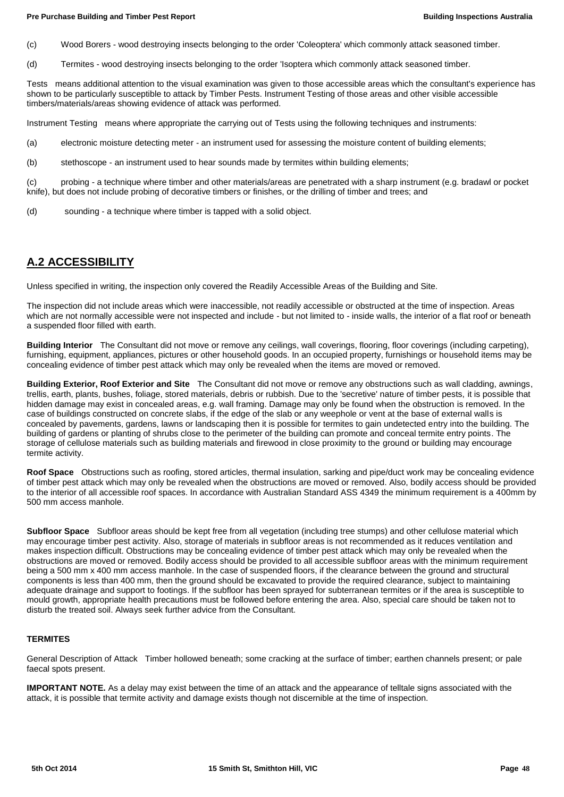(c) Wood Borers - wood destroying insects belonging to the order 'Coleoptera' which commonly attack seasoned timber.

(d) Termites - wood destroying insects belonging to the order 'Isoptera which commonly attack seasoned timber.

Tests means additional attention to the visual examination was given to those accessible areas which the consultant's experience has shown to be particularly susceptible to attack by Timber Pests. Instrument Testing of those areas and other visible accessible timbers/materials/areas showing evidence of attack was performed.

Instrument Testing means where appropriate the carrying out of Tests using the following techniques and instruments:

- (a) electronic moisture detecting meter an instrument used for assessing the moisture content of building elements;
- (b) stethoscope an instrument used to hear sounds made by termites within building elements;

(c) probing - a technique where timber and other materials/areas are penetrated with a sharp instrument (e.g. bradawl or pocket knife), but does not include probing of decorative timbers or finishes, or the drilling of timber and trees; and

(d) sounding - a technique where timber is tapped with a solid object.

## **A.2 ACCESSIBILITY**

Unless specified in writing, the inspection only covered the Readily Accessible Areas of the Building and Site.

The inspection did not include areas which were inaccessible, not readily accessible or obstructed at the time of inspection. Areas which are not normally accessible were not inspected and include - but not limited to - inside walls, the interior of a flat roof or beneath a suspended floor filled with earth.

**Building Interior** The Consultant did not move or remove any ceilings, wall coverings, flooring, floor coverings (including carpeting), furnishing, equipment, appliances, pictures or other household goods. In an occupied property, furnishings or household items may be concealing evidence of timber pest attack which may only be revealed when the items are moved or removed.

**Building Exterior, Roof Exterior and Site** The Consultant did not move or remove any obstructions such as wall cladding, awnings, trellis, earth, plants, bushes, foliage, stored materials, debris or rubbish. Due to the 'secretive' nature of timber pests, it is possible that hidden damage may exist in concealed areas, e.g. wall framing. Damage may only be found when the obstruction is removed. In the case of buildings constructed on concrete slabs, if the edge of the slab or any weephole or vent at the base of external walls is concealed by pavements, gardens, lawns or landscaping then it is possible for termites to gain undetected entry into the building. The building of gardens or planting of shrubs close to the perimeter of the building can promote and conceal termite entry points. The storage of cellulose materials such as building materials and firewood in close proximity to the ground or building may encourage termite activity.

**Roof Space** Obstructions such as roofing, stored articles, thermal insulation, sarking and pipe/duct work may be concealing evidence of timber pest attack which may only be revealed when the obstructions are moved or removed. Also, bodily access should be provided to the interior of all accessible roof spaces. In accordance with Australian Standard ASS 4349 the minimum requirement is a 400mm by 500 mm access manhole.

**Subfloor Space** Subfloor areas should be kept free from all vegetation (including tree stumps) and other cellulose material which may encourage timber pest activity. Also, storage of materials in subfloor areas is not recommended as it reduces ventilation and makes inspection difficult. Obstructions may be concealing evidence of timber pest attack which may only be revealed when the obstructions are moved or removed. Bodily access should be provided to all accessible subfloor areas with the minimum requirement being a 500 mm x 400 mm access manhole. In the case of suspended floors, if the clearance between the ground and structural components is less than 400 mm, then the ground should be excavated to provide the required clearance, subject to maintaining adequate drainage and support to footings. If the subfloor has been sprayed for subterranean termites or if the area is susceptible to mould growth, appropriate health precautions must be followed before entering the area. Also, special care should be taken not to disturb the treated soil. Always seek further advice from the Consultant.

## **TERMITES**

General Description of Attack Timber hollowed beneath; some cracking at the surface of timber; earthen channels present; or pale faecal spots present.

**IMPORTANT NOTE.** As a delay may exist between the time of an attack and the appearance of telltale signs associated with the attack, it is possible that termite activity and damage exists though not discernible at the time of inspection.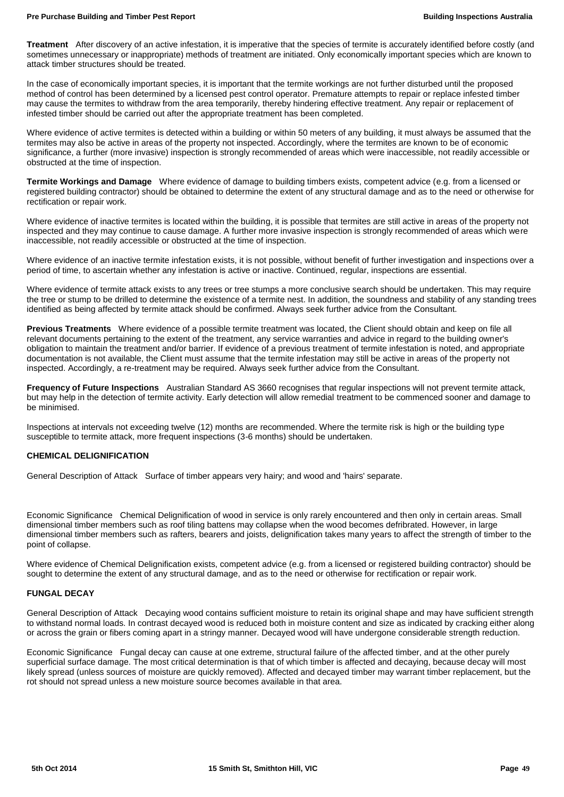**Treatment** After discovery of an active infestation, it is imperative that the species of termite is accurately identified before costly (and sometimes unnecessary or inappropriate) methods of treatment are initiated. Only economically important species which are known to attack timber structures should be treated.

In the case of economically important species, it is important that the termite workings are not further disturbed until the proposed method of control has been determined by a licensed pest control operator. Premature attempts to repair or replace infested timber may cause the termites to withdraw from the area temporarily, thereby hindering effective treatment. Any repair or replacement of infested timber should be carried out after the appropriate treatment has been completed.

Where evidence of active termites is detected within a building or within 50 meters of any building, it must always be assumed that the termites may also be active in areas of the property not inspected. Accordingly, where the termites are known to be of economic significance, a further (more invasive) inspection is strongly recommended of areas which were inaccessible, not readily accessible or obstructed at the time of inspection.

**Termite Workings and Damage** Where evidence of damage to building timbers exists, competent advice (e.g. from a licensed or registered building contractor) should be obtained to determine the extent of any structural damage and as to the need or otherwise for rectification or repair work.

Where evidence of inactive termites is located within the building, it is possible that termites are still active in areas of the property not inspected and they may continue to cause damage. A further more invasive inspection is strongly recommended of areas which were inaccessible, not readily accessible or obstructed at the time of inspection.

Where evidence of an inactive termite infestation exists, it is not possible, without benefit of further investigation and inspections over a period of time, to ascertain whether any infestation is active or inactive. Continued, regular, inspections are essential.

Where evidence of termite attack exists to any trees or tree stumps a more conclusive search should be undertaken. This may require the tree or stump to be drilled to determine the existence of a termite nest. In addition, the soundness and stability of any standing trees identified as being affected by termite attack should be confirmed. Always seek further advice from the Consultant.

**Previous Treatments** Where evidence of a possible termite treatment was located, the Client should obtain and keep on file all relevant documents pertaining to the extent of the treatment, any service warranties and advice in regard to the building owner's obligation to maintain the treatment and/or barrier. If evidence of a previous treatment of termite infestation is noted, and appropriate documentation is not available, the Client must assume that the termite infestation may still be active in areas of the property not inspected. Accordingly, a re-treatment may be required. Always seek further advice from the Consultant.

**Frequency of Future Inspections** Australian Standard AS 3660 recognises that regular inspections will not prevent termite attack, but may help in the detection of termite activity. Early detection will allow remedial treatment to be commenced sooner and damage to be minimised.

Inspections at intervals not exceeding twelve (12) months are recommended. Where the termite risk is high or the building type susceptible to termite attack, more frequent inspections (3-6 months) should be undertaken.

## **CHEMICAL DELIGNIFICATION**

General Description of Attack Surface of timber appears very hairy; and wood and 'hairs' separate.

Economic Significance Chemical Delignification of wood in service is only rarely encountered and then only in certain areas. Small dimensional timber members such as roof tiling battens may collapse when the wood becomes defribrated. However, in large dimensional timber members such as rafters, bearers and joists, delignification takes many years to affect the strength of timber to the point of collapse.

Where evidence of Chemical Delignification exists, competent advice (e.g. from a licensed or registered building contractor) should be sought to determine the extent of any structural damage, and as to the need or otherwise for rectification or repair work.

## **FUNGAL DECAY**

General Description of Attack Decaying wood contains sufficient moisture to retain its original shape and may have sufficient strength to withstand normal loads. In contrast decayed wood is reduced both in moisture content and size as indicated by cracking either along or across the grain or fibers coming apart in a stringy manner. Decayed wood will have undergone considerable strength reduction.

Economic Significance Fungal decay can cause at one extreme, structural failure of the affected timber, and at the other purely superficial surface damage. The most critical determination is that of which timber is affected and decaying, because decay will most likely spread (unless sources of moisture are quickly removed). Affected and decayed timber may warrant timber replacement, but the rot should not spread unless a new moisture source becomes available in that area.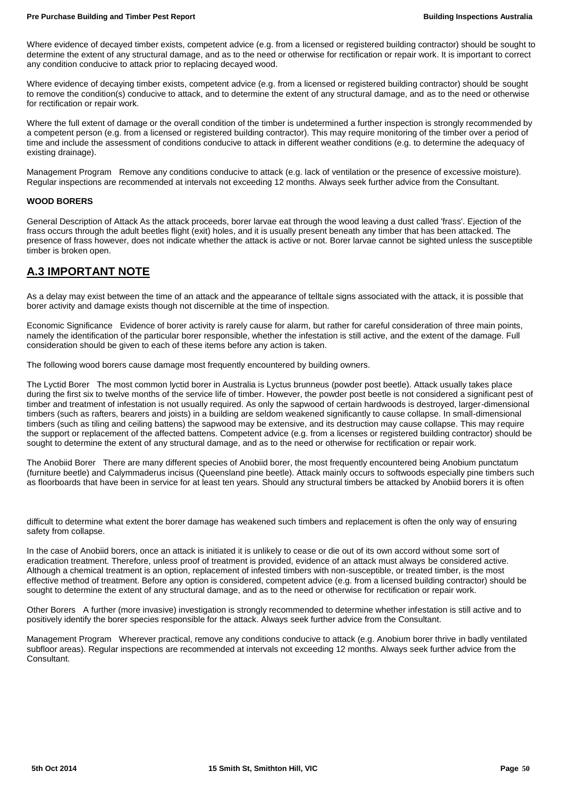Where evidence of decayed timber exists, competent advice (e.g. from a licensed or registered building contractor) should be sought to determine the extent of any structural damage, and as to the need or otherwise for rectification or repair work. It is important to correct any condition conducive to attack prior to replacing decayed wood.

Where evidence of decaying timber exists, competent advice (e.g. from a licensed or registered building contractor) should be sought to remove the condition(s) conducive to attack, and to determine the extent of any structural damage, and as to the need or otherwise for rectification or repair work.

Where the full extent of damage or the overall condition of the timber is undetermined a further inspection is strongly recommended by a competent person (e.g. from a licensed or registered building contractor). This may require monitoring of the timber over a period of time and include the assessment of conditions conducive to attack in different weather conditions (e.g. to determine the adequacy of existing drainage).

Management Program Remove any conditions conducive to attack (e.g. lack of ventilation or the presence of excessive moisture). Regular inspections are recommended at intervals not exceeding 12 months. Always seek further advice from the Consultant.

## **WOOD BORERS**

General Description of Attack As the attack proceeds, borer larvae eat through the wood leaving a dust called 'frass'. Ejection of the frass occurs through the adult beetles flight (exit) holes, and it is usually present beneath any timber that has been attacked. The presence of frass however, does not indicate whether the attack is active or not. Borer larvae cannot be sighted unless the susceptible timber is broken open.

## **A.3 IMPORTANT NOTE**

As a delay may exist between the time of an attack and the appearance of telltale signs associated with the attack, it is possible that borer activity and damage exists though not discernible at the time of inspection.

Economic Significance Evidence of borer activity is rarely cause for alarm, but rather for careful consideration of three main points, namely the identification of the particular borer responsible, whether the infestation is still active, and the extent of the damage. Full consideration should be given to each of these items before any action is taken.

The following wood borers cause damage most frequently encountered by building owners.

The Lyctid Borer The most common lyctid borer in Australia is Lyctus brunneus (powder post beetle). Attack usually takes place during the first six to twelve months of the service life of timber. However, the powder post beetle is not considered a significant pest of timber and treatment of infestation is not usually required. As only the sapwood of certain hardwoods is destroyed, larger-dimensional timbers (such as rafters, bearers and joists) in a building are seldom weakened significantly to cause collapse. In small-dimensional timbers (such as tiling and ceiling battens) the sapwood may be extensive, and its destruction may cause collapse. This may require the support or replacement of the affected battens. Competent advice (e.g. from a licenses or registered building contractor) should be sought to determine the extent of any structural damage, and as to the need or otherwise for rectification or repair work.

The Anobiid Borer There are many different species of Anobiid borer, the most frequently encountered being Anobium punctatum (furniture beetle) and Calymmaderus incisus (Queensland pine beetle). Attack mainly occurs to softwoods especially pine timbers such as floorboards that have been in service for at least ten years. Should any structural timbers be attacked by Anobiid borers it is often

difficult to determine what extent the borer damage has weakened such timbers and replacement is often the only way of ensuring safety from collapse.

In the case of Anobiid borers, once an attack is initiated it is unlikely to cease or die out of its own accord without some sort of eradication treatment. Therefore, unless proof of treatment is provided, evidence of an attack must always be considered active. Although a chemical treatment is an option, replacement of infested timbers with non-susceptible, or treated timber, is the most effective method of treatment. Before any option is considered, competent advice (e.g. from a licensed building contractor) should be sought to determine the extent of any structural damage, and as to the need or otherwise for rectification or repair work.

Other Borers A further (more invasive) investigation is strongly recommended to determine whether infestation is still active and to positively identify the borer species responsible for the attack. Always seek further advice from the Consultant.

Management Program Wherever practical, remove any conditions conducive to attack (e.g. Anobium borer thrive in badly ventilated subfloor areas). Regular inspections are recommended at intervals not exceeding 12 months. Always seek further advice from the Consultant.